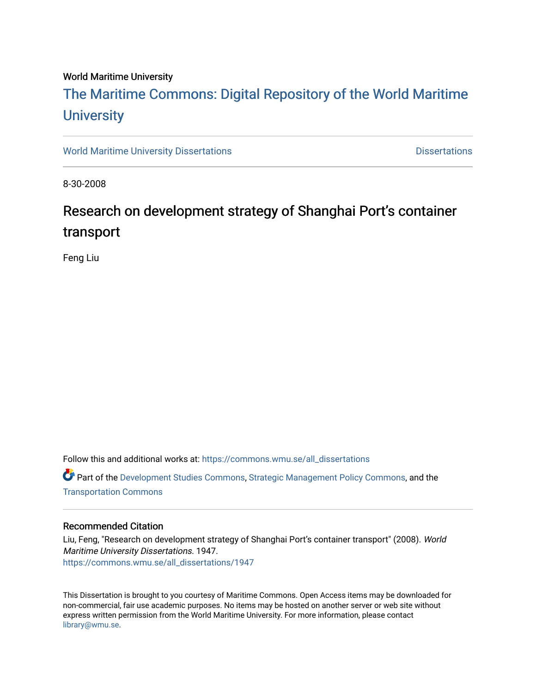# World Maritime University

# [The Maritime Commons: Digital Repository of the World Maritime](https://commons.wmu.se/)  **University**

[World Maritime University Dissertations](https://commons.wmu.se/all_dissertations) **Distributions** [Dissertations](https://commons.wmu.se/dissertations) Dissertations

8-30-2008

# Research on development strategy of Shanghai Port's container transport

Feng Liu

Follow this and additional works at: [https://commons.wmu.se/all\\_dissertations](https://commons.wmu.se/all_dissertations?utm_source=commons.wmu.se%2Fall_dissertations%2F1947&utm_medium=PDF&utm_campaign=PDFCoverPages) 

Part of the [Development Studies Commons,](http://network.bepress.com/hgg/discipline/1422?utm_source=commons.wmu.se%2Fall_dissertations%2F1947&utm_medium=PDF&utm_campaign=PDFCoverPages) [Strategic Management Policy Commons](http://network.bepress.com/hgg/discipline/642?utm_source=commons.wmu.se%2Fall_dissertations%2F1947&utm_medium=PDF&utm_campaign=PDFCoverPages), and the [Transportation Commons](http://network.bepress.com/hgg/discipline/1068?utm_source=commons.wmu.se%2Fall_dissertations%2F1947&utm_medium=PDF&utm_campaign=PDFCoverPages) 

## Recommended Citation

Liu, Feng, "Research on development strategy of Shanghai Port's container transport" (2008). World Maritime University Dissertations. 1947. [https://commons.wmu.se/all\\_dissertations/1947](https://commons.wmu.se/all_dissertations/1947?utm_source=commons.wmu.se%2Fall_dissertations%2F1947&utm_medium=PDF&utm_campaign=PDFCoverPages)

This Dissertation is brought to you courtesy of Maritime Commons. Open Access items may be downloaded for non-commercial, fair use academic purposes. No items may be hosted on another server or web site without express written permission from the World Maritime University. For more information, please contact [library@wmu.se](mailto:library@wmu.edu).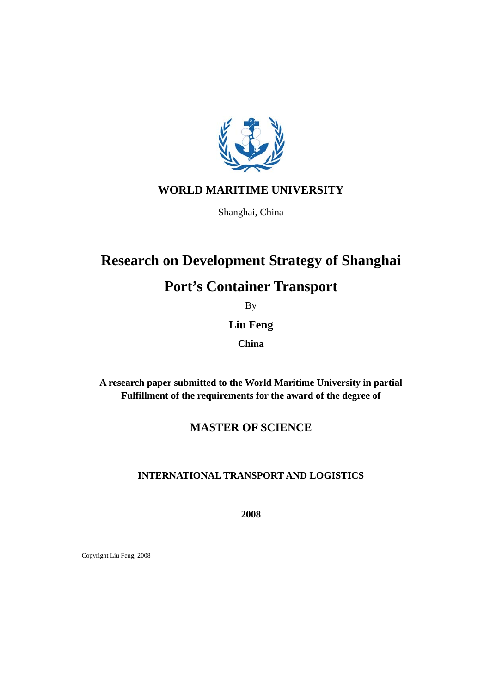

# **WORLD MARITIME UNIVERSITY**

Shanghai, China

# **Research on Development Strategy of Shanghai**

# **Port's Container Transport**

By

# **Liu Feng**

**China** 

**A research paper submitted to the World Maritime University in partial Fulfillment of the requirements for the award of the degree of** 

# **MASTER OF SCIENCE**

# **INTERNATIONAL TRANSPORT AND LOGISTICS**

**2008** 

Copyright Liu Feng, 2008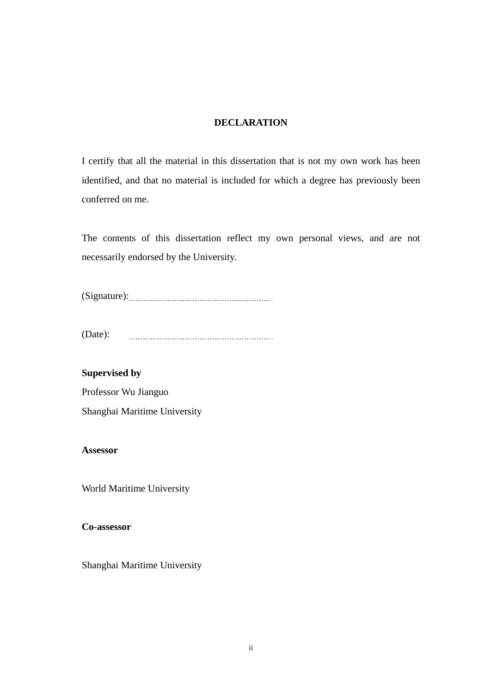# **DECLARATION**

<span id="page-2-0"></span>I certify that all the material in this dissertation that is not my own work has been identified, and that no material is included for which a degree has previously been conferred on me.

The contents of this dissertation reflect my own personal views, and are not necessarily endorsed by the University.

(Signature):

(Date): 

**Supervised by**  Professor Wu Jianguo Shanghai Maritime University

**Assessor** 

World Maritime University

**Co-assessor** 

Shanghai Maritime University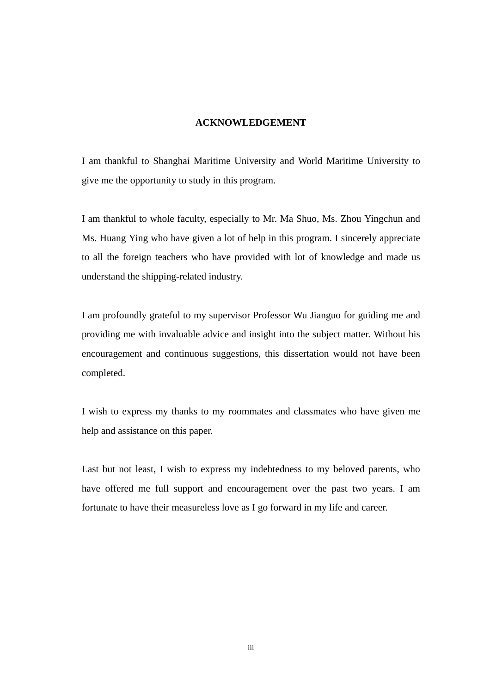# **ACKNOWLEDGEMENT**

<span id="page-3-0"></span>I am thankful to Shanghai Maritime University and World Maritime University to give me the opportunity to study in this program.

I am thankful to whole faculty, especially to Mr. Ma Shuo, Ms. Zhou Yingchun and Ms. Huang Ying who have given a lot of help in this program. I sincerely appreciate to all the foreign teachers who have provided with lot of knowledge and made us understand the shipping-related industry.

I am profoundly grateful to my supervisor Professor Wu Jianguo for guiding me and providing me with invaluable advice and insight into the subject matter. Without his encouragement and continuous suggestions, this dissertation would not have been completed.

I wish to express my thanks to my roommates and classmates who have given me help and assistance on this paper.

Last but not least, I wish to express my indebtedness to my beloved parents, who have offered me full support and encouragement over the past two years. I am fortunate to have their measureless love as I go forward in my life and career.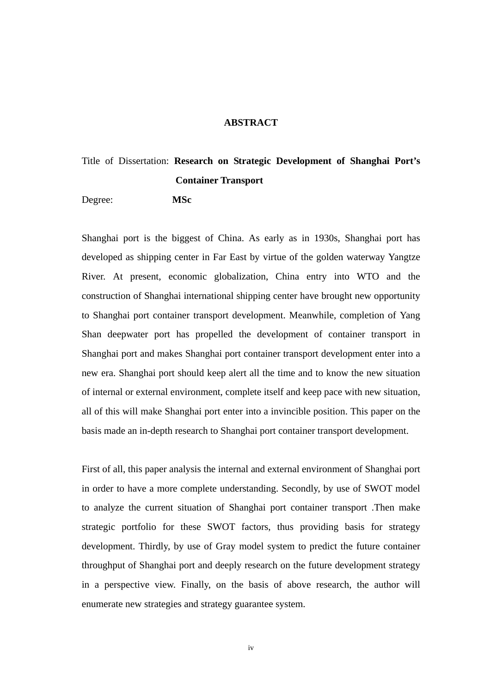### **ABSTRACT**

# <span id="page-4-0"></span>Title of Dissertation: **Research on Strategic Development of Shanghai Port's Container Transport**

Degree: **MSc**

Shanghai port is the biggest of China. As early as in 1930s, Shanghai port has developed as shipping center in Far East by virtue of the golden waterway Yangtze River. At present, economic globalization, China entry into WTO and the construction of Shanghai international shipping center have brought new opportunity to Shanghai port container transport development. Meanwhile, completion of Yang Shan deepwater port has propelled the development of container transport in Shanghai port and makes Shanghai port container transport development enter into a new era. Shanghai port should keep alert all the time and to know the new situation of internal or external environment, complete itself and keep pace with new situation, all of this will make Shanghai port enter into a invincible position. This paper on the basis made an in-depth research to Shanghai port container transport development.

First of all, this paper analysis the internal and external environment of Shanghai port in order to have a more complete understanding. Secondly, by use of SWOT model to analyze the current situation of Shanghai port container transport .Then make strategic portfolio for these SWOT factors, thus providing basis for strategy development. Thirdly, by use of Gray model system to predict the future container throughput of Shanghai port and deeply research on the future development strategy in a perspective view. Finally, on the basis of above research, the author will enumerate new strategies and strategy guarantee system.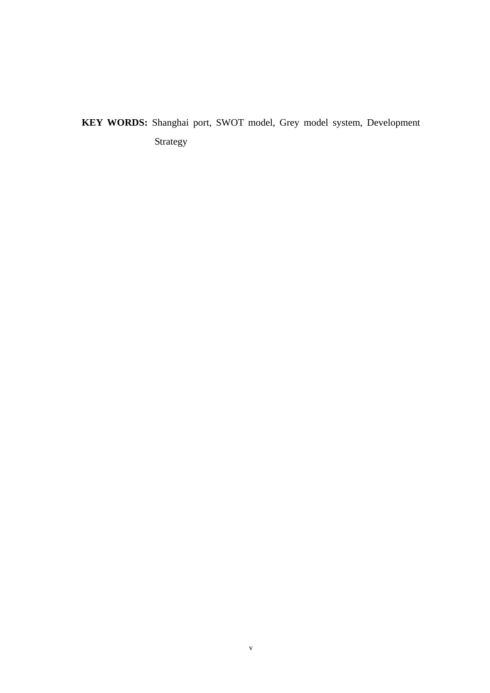# **KEY WORDS:** Shanghai port, SWOT model, Grey model system, Development Strategy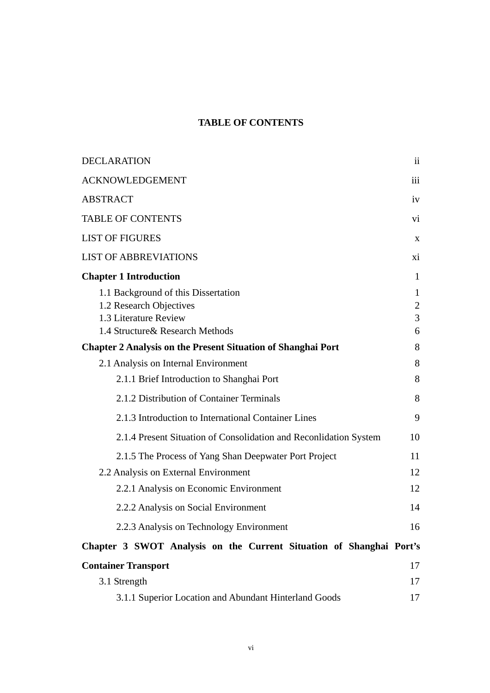# **TABLE OF CONTENTS**

<span id="page-6-0"></span>

| <b>DECLARATION</b>                                                  | $\overline{\mathbf{11}}$ |
|---------------------------------------------------------------------|--------------------------|
| <b>ACKNOWLEDGEMENT</b>                                              | iii                      |
| <b>ABSTRACT</b>                                                     | iv                       |
| <b>TABLE OF CONTENTS</b>                                            | vi                       |
| <b>LIST OF FIGURES</b>                                              | X                        |
| <b>LIST OF ABBREVIATIONS</b>                                        | xi                       |
| <b>Chapter 1 Introduction</b>                                       | $\mathbf{1}$             |
| 1.1 Background of this Dissertation                                 | $\mathbf{1}$             |
| 1.2 Research Objectives                                             | $\mathbf{2}$             |
| 1.3 Literature Review                                               | 3                        |
| 1.4 Structure & Research Methods                                    | 6                        |
| <b>Chapter 2 Analysis on the Present Situation of Shanghai Port</b> | 8                        |
| 2.1 Analysis on Internal Environment                                | 8                        |
| 2.1.1 Brief Introduction to Shanghai Port                           | 8                        |
| 2.1.2 Distribution of Container Terminals                           | 8                        |
| 2.1.3 Introduction to International Container Lines                 | 9                        |
| 2.1.4 Present Situation of Consolidation and Reconlidation System   | 10                       |
| 2.1.5 The Process of Yang Shan Deepwater Port Project               | 11                       |
| 2.2 Analysis on External Environment                                | 12                       |
| 2.2.1 Analysis on Economic Environment                              | 12                       |
| 2.2.2 Analysis on Social Environment                                | 14                       |
| 2.2.3 Analysis on Technology Environment                            | 16                       |
| Chapter 3 SWOT Analysis on the Current Situation of Shanghai Port's |                          |
| <b>Container Transport</b>                                          | 17                       |
| 3.1 Strength                                                        | 17                       |
| 3.1.1 Superior Location and Abundant Hinterland Goods               | 17                       |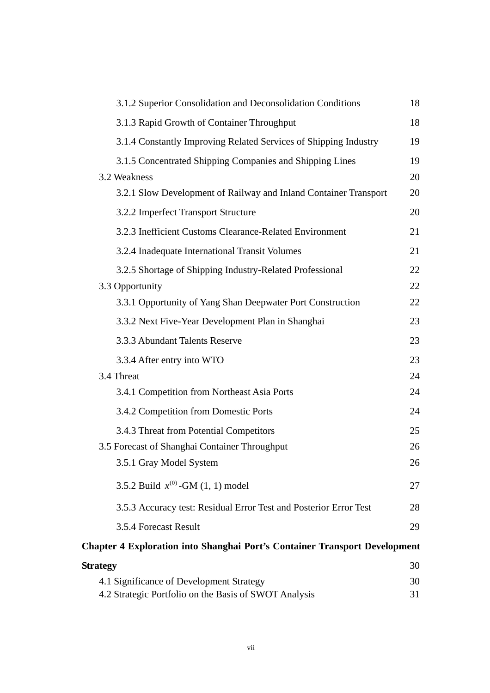| 3.1.2 Superior Consolidation and Deconsolidation Conditions                       | 18 |
|-----------------------------------------------------------------------------------|----|
| 3.1.3 Rapid Growth of Container Throughput                                        | 18 |
| 3.1.4 Constantly Improving Related Services of Shipping Industry                  | 19 |
| 3.1.5 Concentrated Shipping Companies and Shipping Lines                          | 19 |
| 3.2 Weakness                                                                      | 20 |
| 3.2.1 Slow Development of Railway and Inland Container Transport                  | 20 |
| 3.2.2 Imperfect Transport Structure                                               | 20 |
| 3.2.3 Inefficient Customs Clearance-Related Environment                           | 21 |
| 3.2.4 Inadequate International Transit Volumes                                    | 21 |
| 3.2.5 Shortage of Shipping Industry-Related Professional                          | 22 |
| 3.3 Opportunity                                                                   | 22 |
| 3.3.1 Opportunity of Yang Shan Deepwater Port Construction                        | 22 |
| 3.3.2 Next Five-Year Development Plan in Shanghai                                 | 23 |
| 3.3.3 Abundant Talents Reserve                                                    | 23 |
| 3.3.4 After entry into WTO                                                        | 23 |
| 3.4 Threat                                                                        | 24 |
| 3.4.1 Competition from Northeast Asia Ports                                       | 24 |
| 3.4.2 Competition from Domestic Ports                                             | 24 |
| 3.4.3 Threat from Potential Competitors                                           | 25 |
| 3.5 Forecast of Shanghai Container Throughput                                     | 26 |
| 3.5.1 Gray Model System                                                           | 26 |
| 3.5.2 Build $x^{(0)}$ -GM (1, 1) model                                            | 27 |
| 3.5.3 Accuracy test: Residual Error Test and Posterior Error Test                 | 28 |
| 3.5.4 Forecast Result                                                             | 29 |
| <b>Chapter 4 Exploration into Shanghai Port's Container Transport Development</b> |    |
| <b>Strategy</b>                                                                   | 30 |
| 4.1 Significance of Development Strategy                                          | 30 |

| 4.1 Significance of Development Strategy              |  |
|-------------------------------------------------------|--|
| 4.2 Strategic Portfolio on the Basis of SWOT Analysis |  |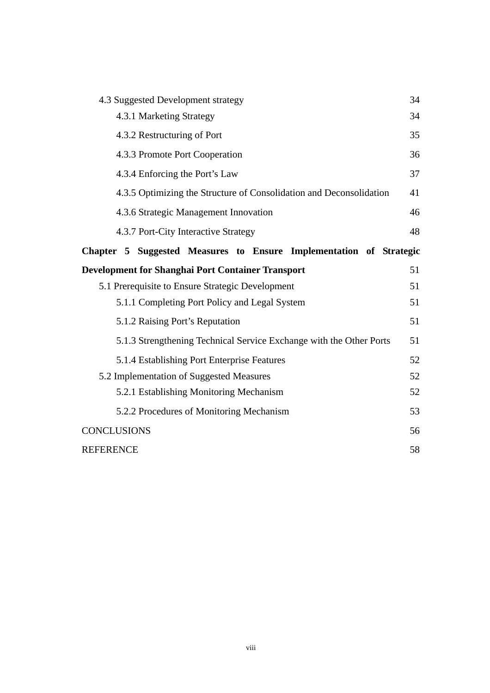| 4.3 Suggested Development strategy                                  | 34 |
|---------------------------------------------------------------------|----|
| 4.3.1 Marketing Strategy                                            | 34 |
| 4.3.2 Restructuring of Port                                         | 35 |
| 4.3.3 Promote Port Cooperation                                      | 36 |
| 4.3.4 Enforcing the Port's Law                                      | 37 |
| 4.3.5 Optimizing the Structure of Consolidation and Deconsolidation | 41 |
| 4.3.6 Strategic Management Innovation                               | 46 |
| 4.3.7 Port-City Interactive Strategy                                | 48 |
| Chapter 5 Suggested Measures to Ensure Implementation of Strategic  |    |
| Development for Shanghai Port Container Transport                   | 51 |
| 5.1 Prerequisite to Ensure Strategic Development                    | 51 |
| 5.1.1 Completing Port Policy and Legal System                       | 51 |
| 5.1.2 Raising Port's Reputation                                     | 51 |
| 5.1.3 Strengthening Technical Service Exchange with the Other Ports | 51 |
| 5.1.4 Establishing Port Enterprise Features                         | 52 |
| 5.2 Implementation of Suggested Measures                            | 52 |
| 5.2.1 Establishing Monitoring Mechanism                             | 52 |
| 5.2.2 Procedures of Monitoring Mechanism                            | 53 |
| <b>CONCLUSIONS</b>                                                  | 56 |
| <b>REFERENCE</b>                                                    | 58 |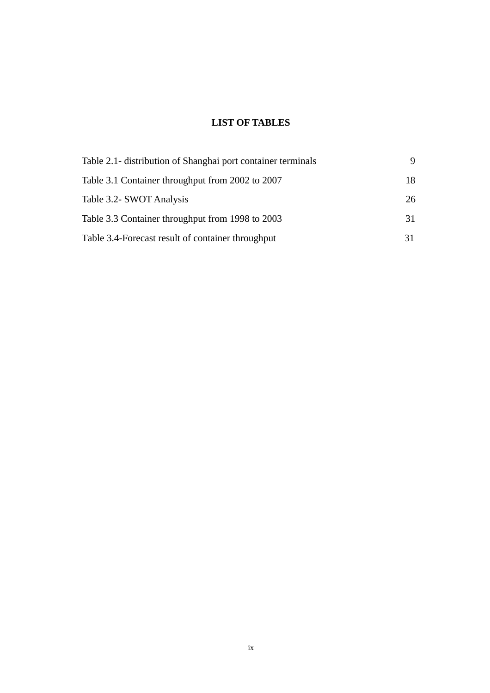# **LIST OF TABLES**

| Table 2.1- distribution of Shanghai port container terminals |    |
|--------------------------------------------------------------|----|
| Table 3.1 Container throughput from 2002 to 2007             | 18 |
| Table 3.2- SWOT Analysis                                     | 26 |
| Table 3.3 Container throughput from 1998 to 2003             | 31 |
| Table 3.4-Forecast result of container throughput            | 31 |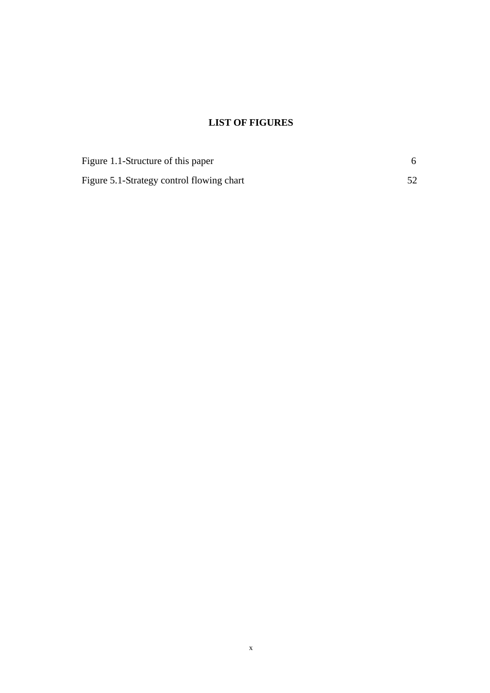# **LIST OF FIGURES**

<span id="page-10-0"></span>

| Figure 1.1-Structure of this paper        |  |
|-------------------------------------------|--|
| Figure 5.1-Strategy control flowing chart |  |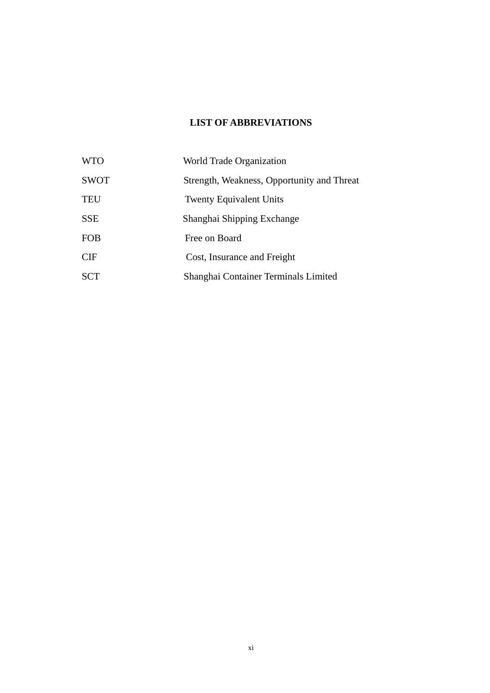# **LIST OF ABBREVIATIONS**

<span id="page-11-0"></span>

| <b>WTO</b>  | World Trade Organization                   |
|-------------|--------------------------------------------|
| <b>SWOT</b> | Strength, Weakness, Opportunity and Threat |
| <b>TEU</b>  | <b>Twenty Equivalent Units</b>             |
| <b>SSE</b>  | Shanghai Shipping Exchange                 |
| FOB         | Free on Board                              |
| <b>CIF</b>  | Cost, Insurance and Freight                |
| SCT         | Shanghai Container Terminals Limited       |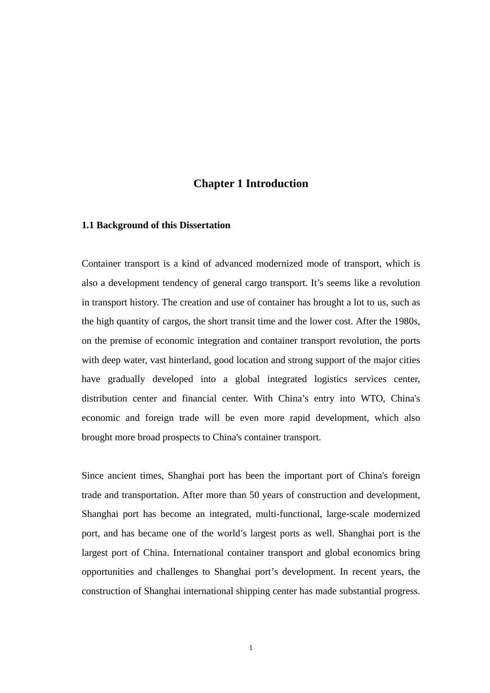# **Chapter 1 Introduction**

## <span id="page-12-0"></span>**1.1 Background of this Dissertation**

Container transport is a kind of advanced modernized mode of transport, which is also a development tendency of general cargo transport. It's seems like a revolution in transport history. The creation and use of container has brought a lot to us, such as the high quantity of cargos, the short transit time and the lower cost. After the 1980s, on the premise of economic integration and container transport revolution, the ports with deep water, vast hinterland, good location and strong support of the major cities have gradually developed into a global integrated logistics services center, distribution center and financial center. With China's entry into WTO, China's economic and foreign trade will be even more rapid development, which also brought more broad prospects to China's container transport.

Since ancient times, Shanghai port has been the important port of China's foreign trade and transportation. After more than 50 years of construction and development, Shanghai port has become an integrated, multi-functional, large-scale modernized port, and has became one of the world's largest ports as well. Shanghai port is the largest port of China. International container transport and global economics bring opportunities and challenges to Shanghai port's development. In recent years, the construction of Shanghai international shipping center has made substantial progress.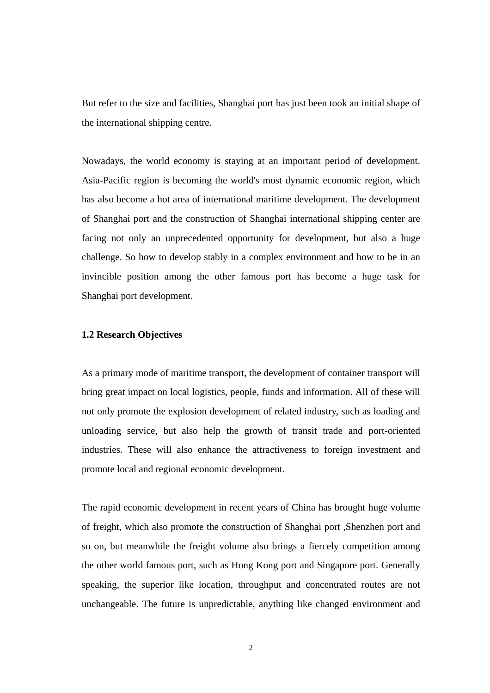<span id="page-13-0"></span>But refer to the size and facilities, Shanghai port has just been took an initial shape of the international shipping centre.

Nowadays, the world economy is staying at an important period of development. Asia-Pacific region is becoming the world's most dynamic economic region, which has also become a hot area of international maritime development. The development of Shanghai port and the construction of Shanghai international shipping center are facing not only an unprecedented opportunity for development, but also a huge challenge. So how to develop stably in a complex environment and how to be in an invincible position among the other famous port has become a huge task for Shanghai port development.

## **1.2 Research Objectives**

As a primary mode of maritime transport, the development of container transport will bring great impact on local logistics, people, funds and information. All of these will not only promote the explosion development of related industry, such as loading and unloading service, but also help the growth of transit trade and port-oriented industries. These will also enhance the attractiveness to foreign investment and promote local and regional economic development.

The rapid economic development in recent years of China has brought huge volume of freight, which also promote the construction of Shanghai port ,Shenzhen port and so on, but meanwhile the freight volume also brings a fiercely competition among the other world famous port, such as Hong Kong port and Singapore port. Generally speaking, the superior like location, throughput and concentrated routes are not unchangeable. The future is unpredictable, anything like changed environment and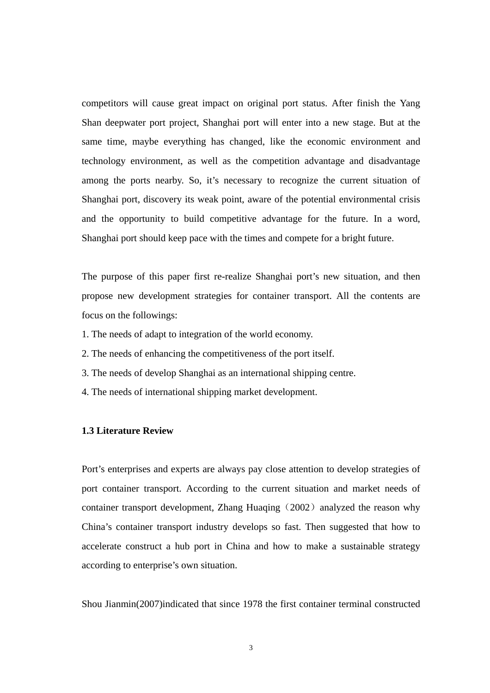<span id="page-14-0"></span>competitors will cause great impact on original port status. After finish the Yang Shan deepwater port project, Shanghai port will enter into a new stage. But at the same time, maybe everything has changed, like the economic environment and technology environment, as well as the competition advantage and disadvantage among the ports nearby. So, it's necessary to recognize the current situation of Shanghai port, discovery its weak point, aware of the potential environmental crisis and the opportunity to build competitive advantage for the future. In a word, Shanghai port should keep pace with the times and compete for a bright future.

The purpose of this paper first re-realize Shanghai port's new situation, and then propose new development strategies for container transport. All the contents are focus on the followings:

- 1. The needs of adapt to integration of the world economy.
- 2. The needs of enhancing the competitiveness of the port itself.
- 3. The needs of develop Shanghai as an international shipping centre.
- 4. The needs of international shipping market development.

# **1.3 Literature Review**

Port's enterprises and experts are always pay close attention to develop strategies of port container transport. According to the current situation and market needs of container transport development, Zhang Huaqing (2002) analyzed the reason why China's container transport industry develops so fast. Then suggested that how to accelerate construct a hub port in China and how to make a sustainable strategy according to enterprise's own situation.

Shou Jianmin(2007)indicated that since 1978 the first container terminal constructed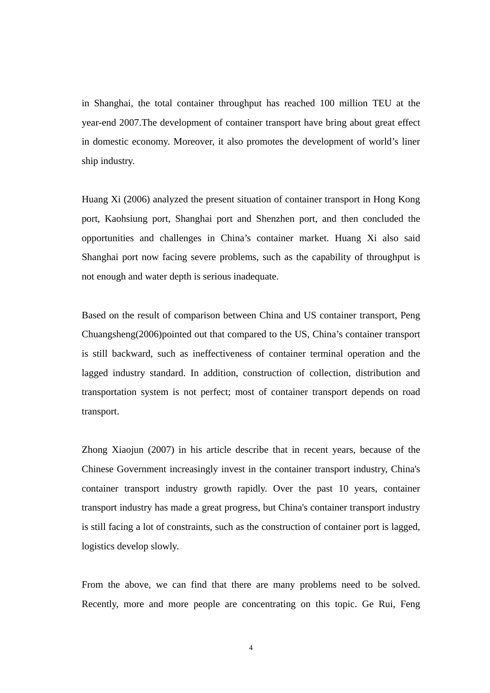in Shanghai, the total container throughput has reached 100 million TEU at the year-end 2007.The development of container transport have bring about great effect in domestic economy. Moreover, it also promotes the development of world's liner ship industry.

Huang Xi (2006) analyzed the present situation of container transport in Hong Kong port, Kaohsiung port, Shanghai port and Shenzhen port, and then concluded the opportunities and challenges in China's container market. Huang Xi also said Shanghai port now facing severe problems, such as the capability of throughput is not enough and water depth is serious inadequate.

Based on the result of comparison between China and US container transport, Peng Chuangsheng(2006)pointed out that compared to the US, China's container transport is still backward, such as ineffectiveness of container terminal operation and the lagged industry standard. In addition, construction of collection, distribution and transportation system is not perfect; most of container transport depends on road transport.

Zhong Xiaojun (2007) in his article describe that in recent years, because of the Chinese Government increasingly invest in the container transport industry, China's container transport industry growth rapidly. Over the past 10 years, container transport industry has made a great progress, but China's container transport industry is still facing a lot of constraints, such as the construction of container port is lagged, logistics develop slowly.

From the above, we can find that there are many problems need to be solved. Recently, more and more people are concentrating on this topic. Ge Rui, Feng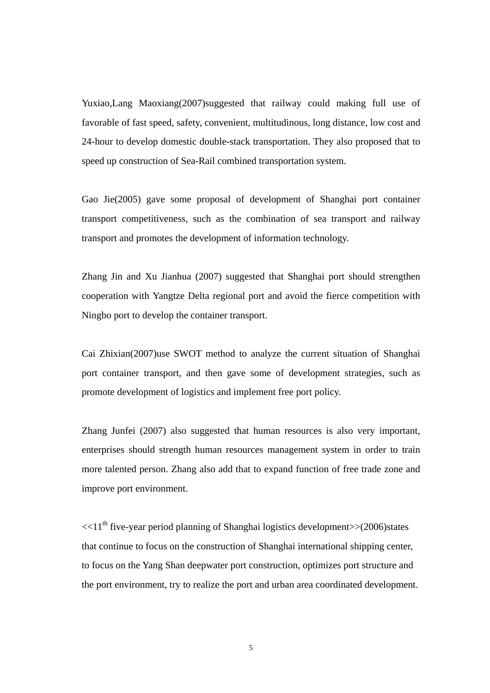Yuxiao,Lang Maoxiang(2007)suggested that railway could making full use of favorable of fast speed, safety, convenient, multitudinous, long distance, low cost and 24-hour to develop domestic double-stack transportation. They also proposed that to speed up construction of Sea-Rail combined transportation system.

Gao Jie(2005) gave some proposal of development of Shanghai port container transport competitiveness, such as the combination of sea transport and railway transport and promotes the development of information technology.

Zhang Jin and Xu Jianhua (2007) suggested that Shanghai port should strengthen cooperation with Yangtze Delta regional port and avoid the fierce competition with Ningbo port to develop the container transport.

Cai Zhixian(2007)use SWOT method to analyze the current situation of Shanghai port container transport, and then gave some of development strategies, such as promote development of logistics and implement free port policy.

Zhang Junfei (2007) also suggested that human resources is also very important, enterprises should strength human resources management system in order to train more talented person. Zhang also add that to expand function of free trade zone and improve port environment.

 $<<11<sup>th</sup>$  five-year period planning of Shanghai logistics development $>>(2006)$ states that continue to focus on the construction of Shanghai international shipping center, to focus on the Yang Shan deepwater port construction, optimizes port structure and the port environment, try to realize the port and urban area coordinated development.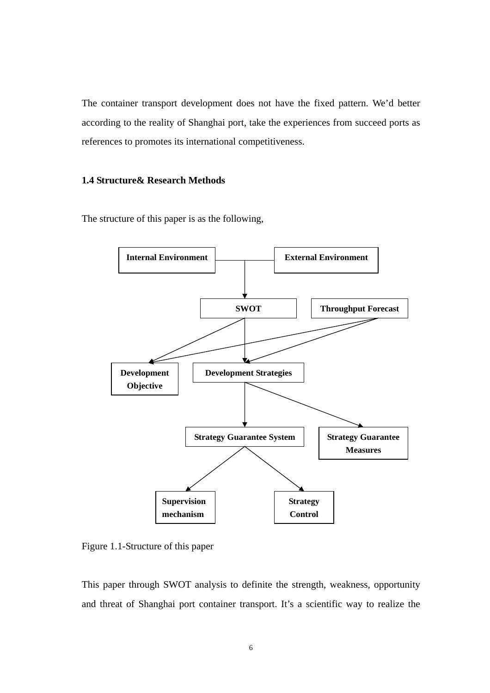<span id="page-17-0"></span>The container transport development does not have the fixed pattern. We'd better according to the reality of Shanghai port, take the experiences from succeed ports as references to promotes its international competitiveness.

# **1.4 Structure& Research Methods**

The structure of this paper is as the following,



Figure 1.1-Structure of this paper

This paper through SWOT analysis to definite the strength, weakness, opportunity and threat of Shanghai port container transport. It's a scientific way to realize the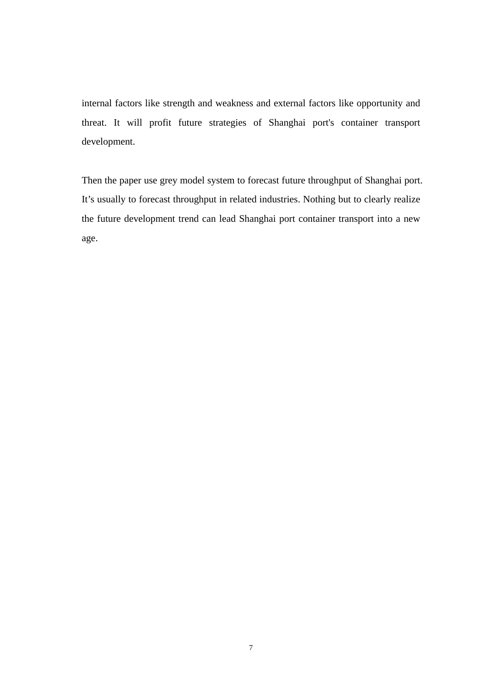internal factors like strength and weakness and external factors like opportunity and threat. It will profit future strategies of Shanghai port's container transport development.

Then the paper use grey model system to forecast future throughput of Shanghai port. It's usually to forecast throughput in related industries. Nothing but to clearly realize the future development trend can lead Shanghai port container transport into a new age.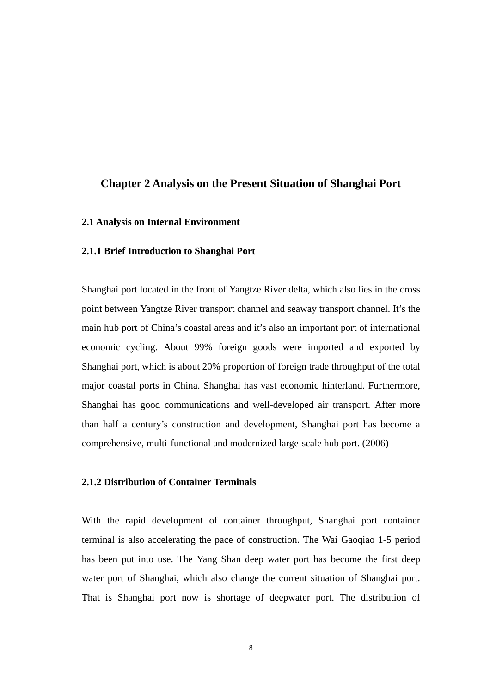# <span id="page-19-0"></span>**Chapter 2 Analysis on the Present Situation of Shanghai Port**

#### **2.1 Analysis on Internal Environment**

#### **2.1.1 Brief Introduction to Shanghai Port**

Shanghai port located in the front of Yangtze River delta, which also lies in the cross point between Yangtze River transport channel and seaway transport channel. It's the main hub port of China's coastal areas and it's also an important port of international economic cycling. About 99% foreign goods were imported and exported by Shanghai port, which is about 20% proportion of foreign trade throughput of the total major coastal ports in China. Shanghai has vast economic hinterland. Furthermore, Shanghai has good communications and well-developed air transport. After more than half a century's construction and development, Shanghai port has become a comprehensive, multi-functional and modernized large-scale hub port. (2006)

# **2.1.2 Distribution of Container Terminals**

With the rapid development of container throughput, Shanghai port container terminal is also accelerating the pace of construction. The Wai Gaoqiao 1-5 period has been put into use. The Yang Shan deep water port has become the first deep water port of Shanghai, which also change the current situation of Shanghai port. That is Shanghai port now is shortage of deepwater port. The distribution of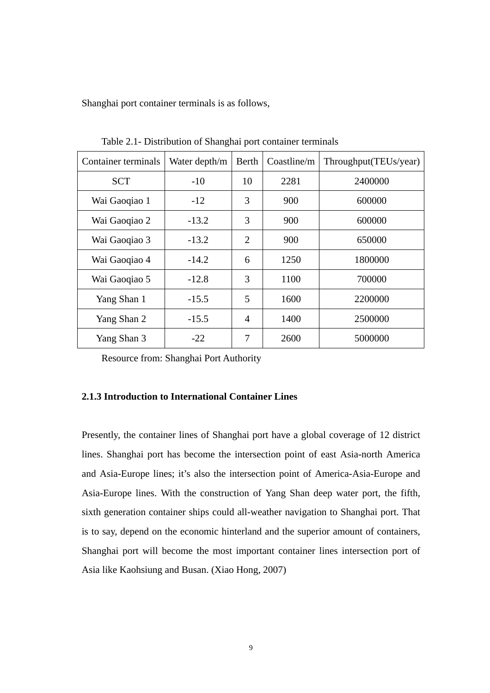<span id="page-20-0"></span>Shanghai port container terminals is as follows,

| Container terminals | Water depth/m | Berth          | Coastline/m | Throughput(TEUs/year) |  |
|---------------------|---------------|----------------|-------------|-----------------------|--|
| <b>SCT</b>          | $-10$         | 10             | 2281        | 2400000               |  |
| Wai Gaoqiao 1       | $-12$         | 3              | 900         | 600000                |  |
| Wai Gaoqiao 2       | $-13.2$       | 3              | 900         | 600000                |  |
| Wai Gaoqiao 3       | $-13.2$       | $\overline{2}$ | 900         | 650000                |  |
| Wai Gaoqiao 4       | $-14.2$       | 6              | 1250        | 1800000               |  |
| Wai Gaoqiao 5       | $-12.8$       | 3              | 1100        | 700000                |  |
| Yang Shan 1         | $-15.5$       | 5              | 1600        | 2200000               |  |
| Yang Shan 2         | $-15.5$       | $\overline{4}$ | 1400        | 2500000               |  |
| Yang Shan 3         | $-22$         | 7              | 2600        | 5000000               |  |

Table 2.1- Distribution of Shanghai port container terminals

Resource from: Shanghai Port Authority

# **2.1.3 Introduction to International Container Lines**

Presently, the container lines of Shanghai port have a global coverage of 12 district lines. Shanghai port has become the intersection point of east Asia-north America and Asia-Europe lines; it's also the intersection point of America-Asia-Europe and Asia-Europe lines. With the construction of Yang Shan deep water port, the fifth, sixth generation container ships could all-weather navigation to Shanghai port. That is to say, depend on the economic hinterland and the superior amount of containers, Shanghai port will become the most important container lines intersection port of Asia like Kaohsiung and Busan. (Xiao Hong, 2007)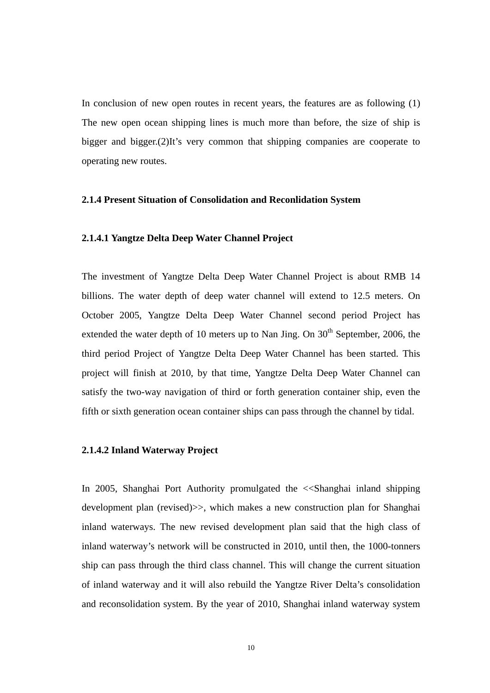<span id="page-21-0"></span>In conclusion of new open routes in recent years, the features are as following (1) The new open ocean shipping lines is much more than before, the size of ship is bigger and bigger.(2)It's very common that shipping companies are cooperate to operating new routes.

### **2.1.4 Present Situation of Consolidation and Reconlidation System**

#### **2.1.4.1 Yangtze Delta Deep Water Channel Project**

The investment of Yangtze Delta Deep Water Channel Project is about RMB 14 billions. The water depth of deep water channel will extend to 12.5 meters. On October 2005, Yangtze Delta Deep Water Channel second period Project has extended the water depth of 10 meters up to Nan Jing. On  $30<sup>th</sup>$  September, 2006, the third period Project of Yangtze Delta Deep Water Channel has been started. This project will finish at 2010, by that time, Yangtze Delta Deep Water Channel can satisfy the two-way navigation of third or forth generation container ship, even the fifth or sixth generation ocean container ships can pass through the channel by tidal.

#### **2.1.4.2 Inland Waterway Project**

In 2005, Shanghai Port Authority promulgated the <<Shanghai inland shipping development plan (revised)>>, which makes a new construction plan for Shanghai inland waterways. The new revised development plan said that the high class of inland waterway's network will be constructed in 2010, until then, the 1000-tonners ship can pass through the third class channel. This will change the current situation of inland waterway and it will also rebuild the Yangtze River Delta's consolidation and reconsolidation system. By the year of 2010, Shanghai inland waterway system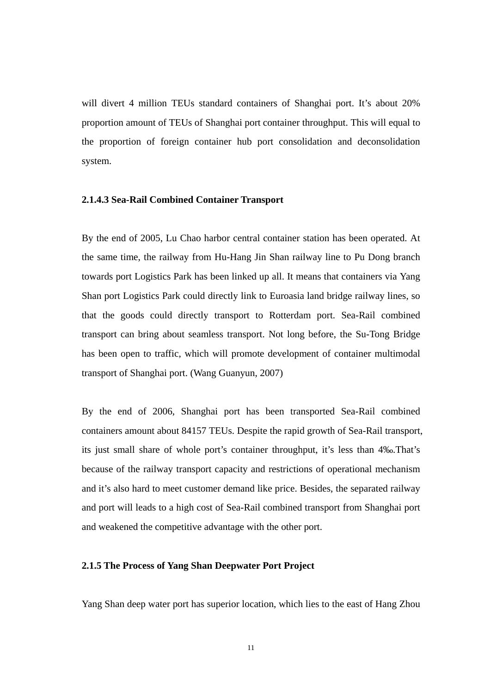<span id="page-22-0"></span>will divert 4 million TEUs standard containers of Shanghai port. It's about 20% proportion amount of TEUs of Shanghai port container throughput. This will equal to the proportion of foreign container hub port consolidation and deconsolidation system.

### **2.1.4.3 Sea-Rail Combined Container Transport**

By the end of 2005, Lu Chao harbor central container station has been operated. At the same time, the railway from Hu-Hang Jin Shan railway line to Pu Dong branch towards port Logistics Park has been linked up all. It means that containers via Yang Shan port Logistics Park could directly link to Euroasia land bridge railway lines, so that the goods could directly transport to Rotterdam port. Sea-Rail combined transport can bring about seamless transport. Not long before, the Su-Tong Bridge has been open to traffic, which will promote development of container multimodal transport of Shanghai port. (Wang Guanyun, 2007)

By the end of 2006, Shanghai port has been transported Sea-Rail combined containers amount about 84157 TEUs. Despite the rapid growth of Sea-Rail transport, its just small share of whole port's container throughput, it's less than 4‰.That's because of the railway transport capacity and restrictions of operational mechanism and it's also hard to meet customer demand like price. Besides, the separated railway and port will leads to a high cost of Sea-Rail combined transport from Shanghai port and weakened the competitive advantage with the other port.

## **2.1.5 The Process of Yang Shan Deepwater Port Project**

Yang Shan deep water port has superior location, which lies to the east of Hang Zhou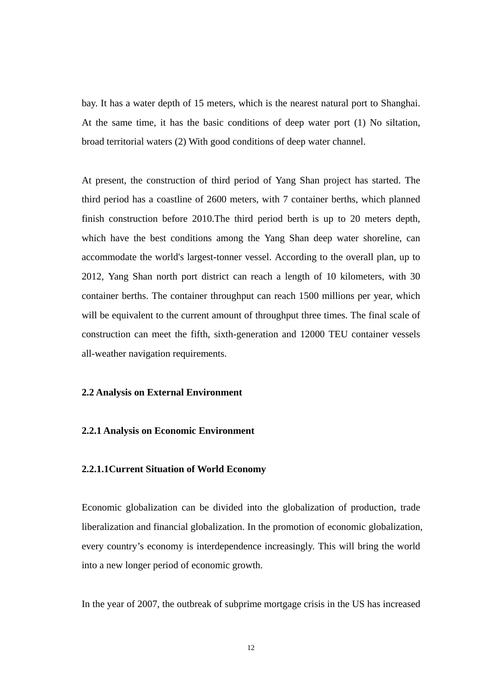<span id="page-23-0"></span>bay. It has a water depth of 15 meters, which is the nearest natural port to Shanghai. At the same time, it has the basic conditions of deep water port (1) No siltation, broad territorial waters (2) With good conditions of deep water channel.

At present, the construction of third period of Yang Shan project has started. The third period has a coastline of 2600 meters, with 7 container berths, which planned finish construction before 2010.The third period berth is up to 20 meters depth, which have the best conditions among the Yang Shan deep water shoreline, can accommodate the world's largest-tonner vessel. According to the overall plan, up to 2012, Yang Shan north port district can reach a length of 10 kilometers, with 30 container berths. The container throughput can reach 1500 millions per year, which will be equivalent to the current amount of throughput three times. The final scale of construction can meet the fifth, sixth-generation and 12000 TEU container vessels all-weather navigation requirements.

## **2.2 Analysis on External Environment**

## **2.2.1 Analysis on Economic Environment**

## **2.2.1.1Current Situation of World Economy**

Economic globalization can be divided into the globalization of production, trade liberalization and financial globalization. In the promotion of economic globalization, every country's economy is interdependence increasingly. This will bring the world into a new longer period of economic growth.

In the year of 2007, the outbreak of subprime mortgage crisis in the US has increased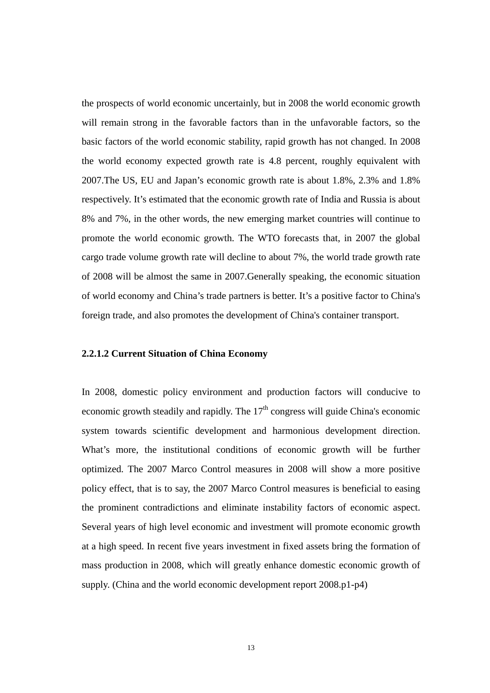the prospects of world economic uncertainly, but in 2008 the world economic growth will remain strong in the favorable factors than in the unfavorable factors, so the basic factors of the world economic stability, rapid growth has not changed. In 2008 the world economy expected growth rate is 4.8 percent, roughly equivalent with 2007.The US, EU and Japan's economic growth rate is about 1.8%, 2.3% and 1.8% respectively. It's estimated that the economic growth rate of India and Russia is about 8% and 7%, in the other words, the new emerging market countries will continue to promote the world economic growth. The WTO forecasts that, in 2007 the global cargo trade volume growth rate will decline to about 7%, the world trade growth rate of 2008 will be almost the same in 2007.Generally speaking, the economic situation of world economy and China's trade partners is better. It's a positive factor to China's foreign trade, and also promotes the development of China's container transport.

#### **2.2.1.2 Current Situation of China Economy**

In 2008, domestic policy environment and production factors will conducive to economic growth steadily and rapidly. The  $17<sup>th</sup>$  congress will guide China's economic system towards scientific development and harmonious development direction. What's more, the institutional conditions of economic growth will be further optimized. The 2007 Marco Control measures in 2008 will show a more positive policy effect, that is to say, the 2007 Marco Control measures is beneficial to easing the prominent contradictions and eliminate instability factors of economic aspect. Several years of high level economic and investment will promote economic growth at a high speed. In recent five years investment in fixed assets bring the formation of mass production in 2008, which will greatly enhance domestic economic growth of supply. (China and the world economic development report 2008.p1-p4)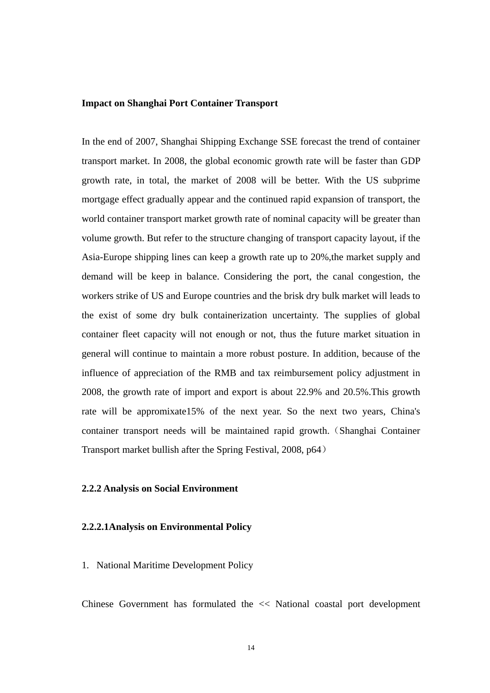#### <span id="page-25-0"></span>**Impact on Shanghai Port Container Transport**

In the end of 2007, Shanghai Shipping Exchange SSE forecast the trend of container transport market. In 2008, the global economic growth rate will be faster than GDP growth rate, in total, the market of 2008 will be better. With the US subprime mortgage effect gradually appear and the continued rapid expansion of transport, the world container transport market growth rate of nominal capacity will be greater than volume growth. But refer to the structure changing of transport capacity layout, if the Asia-Europe shipping lines can keep a growth rate up to 20%,the market supply and demand will be keep in balance. Considering the port, the canal congestion, the workers strike of US and Europe countries and the brisk dry bulk market will leads to the exist of some dry bulk containerization uncertainty. The supplies of global container fleet capacity will not enough or not, thus the future market situation in general will continue to maintain a more robust posture. In addition, because of the influence of appreciation of the RMB and tax reimbursement policy adjustment in 2008, the growth rate of import and export is about 22.9% and 20.5%.This growth rate will be appromixate15% of the next year. So the next two years, China's container transport needs will be maintained rapid growth. (Shanghai Container Transport market bullish after the Spring Festival, 2008, p64)

#### **2.2.2 Analysis on Social Environment**

## **2.2.2.1Analysis on Environmental Policy**

## 1. National Maritime Development Policy

Chinese Government has formulated the << National coastal port development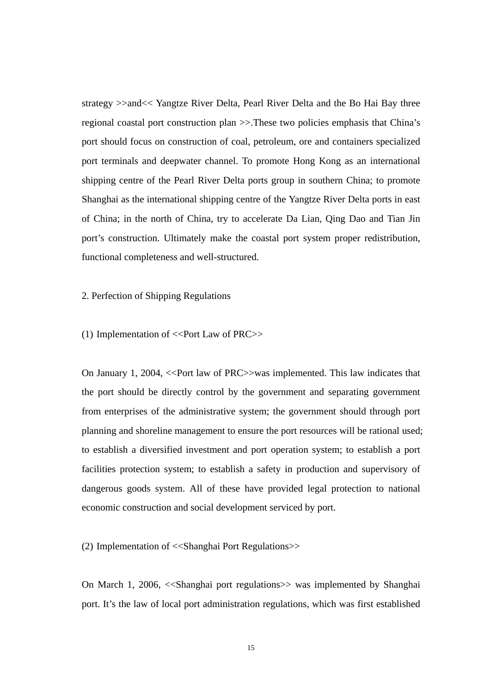strategy >>and<< Yangtze River Delta, Pearl River Delta and the Bo Hai Bay three regional coastal port construction plan >>.These two policies emphasis that China's port should focus on construction of coal, petroleum, ore and containers specialized port terminals and deepwater channel. To promote Hong Kong as an international shipping centre of the Pearl River Delta ports group in southern China; to promote Shanghai as the international shipping centre of the Yangtze River Delta ports in east of China; in the north of China, try to accelerate Da Lian, Qing Dao and Tian Jin port's construction. Ultimately make the coastal port system proper redistribution, functional completeness and well-structured.

### 2. Perfection of Shipping Regulations

#### (1) Implementation of  $\langle$ -Port Law of PRC $\rangle$ >

On January 1, 2004, <<Port law of PRC>>was implemented. This law indicates that the port should be directly control by the government and separating government from enterprises of the administrative system; the government should through port planning and shoreline management to ensure the port resources will be rational used; to establish a diversified investment and port operation system; to establish a port facilities protection system; to establish a safety in production and supervisory of dangerous goods system. All of these have provided legal protection to national economic construction and social development serviced by port.

(2) Implementation of <<Shanghai Port Regulations>>

On March 1, 2006, <<Shanghai port regulations>> was implemented by Shanghai port. It's the law of local port administration regulations, which was first established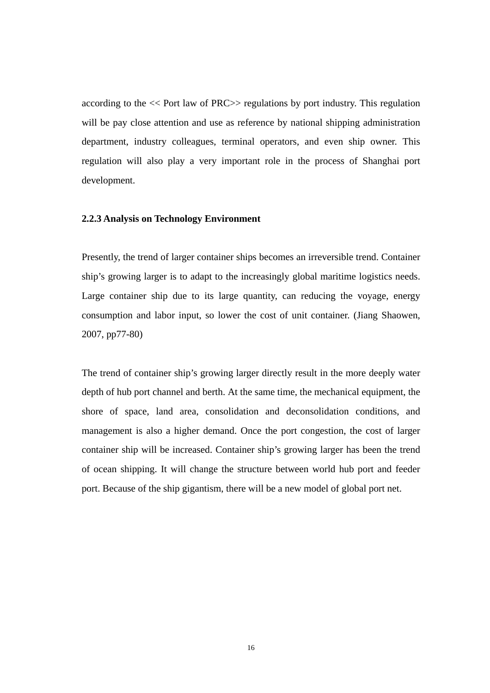<span id="page-27-0"></span>according to the << Port law of PRC>> regulations by port industry. This regulation will be pay close attention and use as reference by national shipping administration department, industry colleagues, terminal operators, and even ship owner. This regulation will also play a very important role in the process of Shanghai port development.

#### **2.2.3 Analysis on Technology Environment**

Presently, the trend of larger container ships becomes an irreversible trend. Container ship's growing larger is to adapt to the increasingly global maritime logistics needs. Large container ship due to its large quantity, can reducing the voyage, energy consumption and labor input, so lower the cost of unit container. (Jiang Shaowen, 2007, pp77-80)

The trend of container ship's growing larger directly result in the more deeply water depth of hub port channel and berth. At the same time, the mechanical equipment, the shore of space, land area, consolidation and deconsolidation conditions, and management is also a higher demand. Once the port congestion, the cost of larger container ship will be increased. Container ship's growing larger has been the trend of ocean shipping. It will change the structure between world hub port and feeder port. Because of the ship gigantism, there will be a new model of global port net.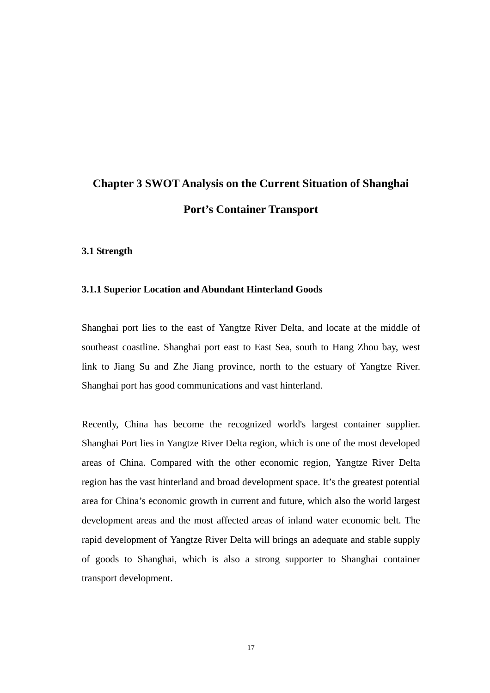# <span id="page-28-0"></span>**Chapter 3 SWOT Analysis on the Current Situation of Shanghai Port's Container Transport**

#### **3.1 Strength**

#### **3.1.1 Superior Location and Abundant Hinterland Goods**

Shanghai port lies to the east of Yangtze River Delta, and locate at the middle of southeast coastline. Shanghai port east to East Sea, south to Hang Zhou bay, west link to Jiang Su and Zhe Jiang province, north to the estuary of Yangtze River. Shanghai port has good communications and vast hinterland.

Recently, China has become the recognized world's largest container supplier. Shanghai Port lies in Yangtze River Delta region, which is one of the most developed areas of China. Compared with the other economic region, Yangtze River Delta region has the vast hinterland and broad development space. It's the greatest potential area for China's economic growth in current and future, which also the world largest development areas and the most affected areas of inland water economic belt. The rapid development of Yangtze River Delta will brings an adequate and stable supply of goods to Shanghai, which is also a strong supporter to Shanghai container transport development.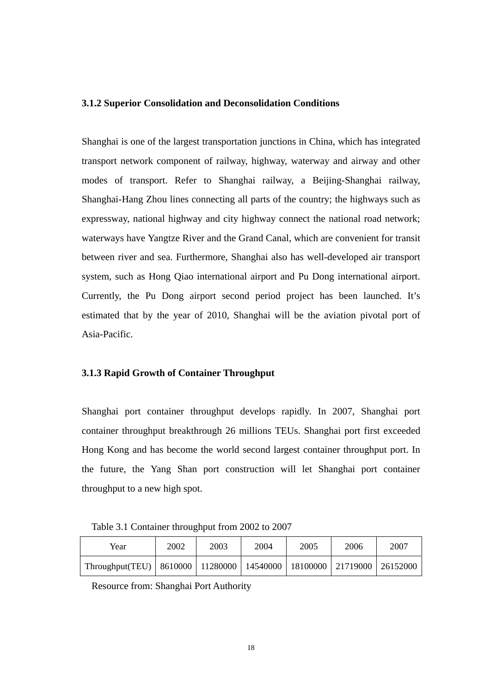#### <span id="page-29-0"></span>**3.1.2 Superior Consolidation and Deconsolidation Conditions**

Shanghai is one of the largest transportation junctions in China, which has integrated transport network component of railway, highway, waterway and airway and other modes of transport. Refer to Shanghai railway, a Beijing-Shanghai railway, Shanghai-Hang Zhou lines connecting all parts of the country; the highways such as expressway, national highway and city highway connect the national road network; waterways have Yangtze River and the Grand Canal, which are convenient for transit between river and sea. Furthermore, Shanghai also has well-developed air transport system, such as Hong Qiao international airport and Pu Dong international airport. Currently, the Pu Dong airport second period project has been launched. It's estimated that by the year of 2010, Shanghai will be the aviation pivotal port of Asia-Pacific.

# **3.1.3 Rapid Growth of Container Throughput**

Shanghai port container throughput develops rapidly. In 2007, Shanghai port container throughput breakthrough 26 millions TEUs. Shanghai port first exceeded Hong Kong and has become the world second largest container throughput port. In the future, the Yang Shan port construction will let Shanghai port container throughput to a new high spot.

Table 3.1 Container throughput from 2002 to 2007

| Year                                                                  | 2002 | 2003 | 2004 | 2005 | 2006 | 2007      |
|-----------------------------------------------------------------------|------|------|------|------|------|-----------|
| Throughput(TEU)   8610000   11280000   14540000   18100000   21719000 |      |      |      |      |      | 126152000 |

Resource from: Shanghai Port Authority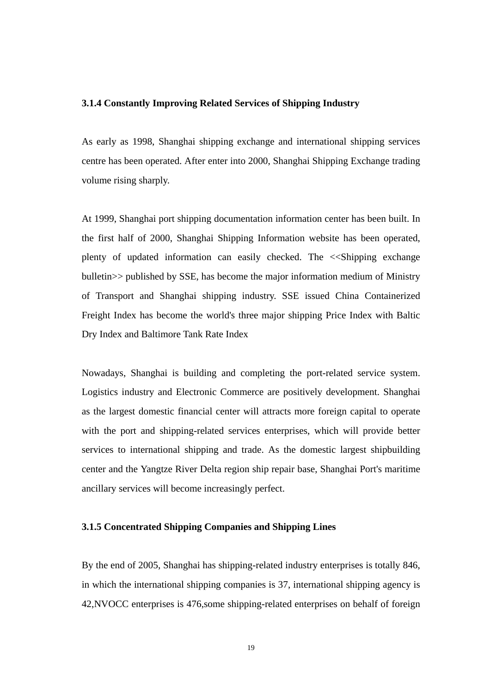### <span id="page-30-0"></span>**3.1.4 Constantly Improving Related Services of Shipping Industry**

As early as 1998, Shanghai shipping exchange and international shipping services centre has been operated. After enter into 2000, Shanghai Shipping Exchange trading volume rising sharply.

At 1999, Shanghai port shipping documentation information center has been built. In the first half of 2000, Shanghai Shipping Information website has been operated, plenty of updated information can easily checked. The <<Shipping exchange bulletin>> published by SSE, has become the major information medium of Ministry of Transport and Shanghai shipping industry. SSE issued China Containerized Freight Index has become the world's three major shipping Price Index with Baltic Dry Index and Baltimore Tank Rate Index

Nowadays, Shanghai is building and completing the port-related service system. Logistics industry and Electronic Commerce are positively development. Shanghai as the largest domestic financial center will attracts more foreign capital to operate with the port and shipping-related services enterprises, which will provide better services to international shipping and trade. As the domestic largest shipbuilding center and the Yangtze River Delta region ship repair base, Shanghai Port's maritime ancillary services will become increasingly perfect.

# **3.1.5 Concentrated Shipping Companies and Shipping Lines**

By the end of 2005, Shanghai has shipping-related industry enterprises is totally 846, in which the international shipping companies is 37, international shipping agency is 42,NVOCC enterprises is 476,some shipping-related enterprises on behalf of foreign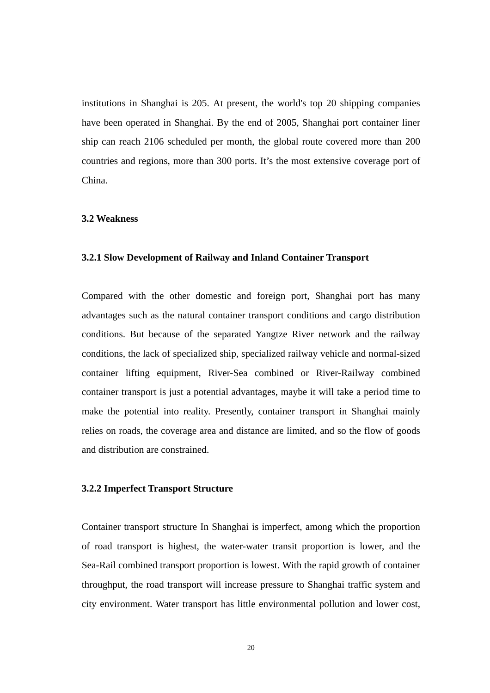<span id="page-31-0"></span>institutions in Shanghai is 205. At present, the world's top 20 shipping companies have been operated in Shanghai. By the end of 2005, Shanghai port container liner ship can reach 2106 scheduled per month, the global route covered more than 200 countries and regions, more than 300 ports. It's the most extensive coverage port of China.

#### **3.2 Weakness**

# **3.2.1 Slow Development of Railway and Inland Container Transport**

Compared with the other domestic and foreign port, Shanghai port has many advantages such as the natural container transport conditions and cargo distribution conditions. But because of the separated Yangtze River network and the railway conditions, the lack of specialized ship, specialized railway vehicle and normal-sized container lifting equipment, River-Sea combined or River-Railway combined container transport is just a potential advantages, maybe it will take a period time to make the potential into reality. Presently, container transport in Shanghai mainly relies on roads, the coverage area and distance are limited, and so the flow of goods and distribution are constrained.

#### **3.2.2 Imperfect Transport Structure**

Container transport structure In Shanghai is imperfect, among which the proportion of road transport is highest, the water-water transit proportion is lower, and the Sea-Rail combined transport proportion is lowest. With the rapid growth of container throughput, the road transport will increase pressure to Shanghai traffic system and city environment. Water transport has little environmental pollution and lower cost,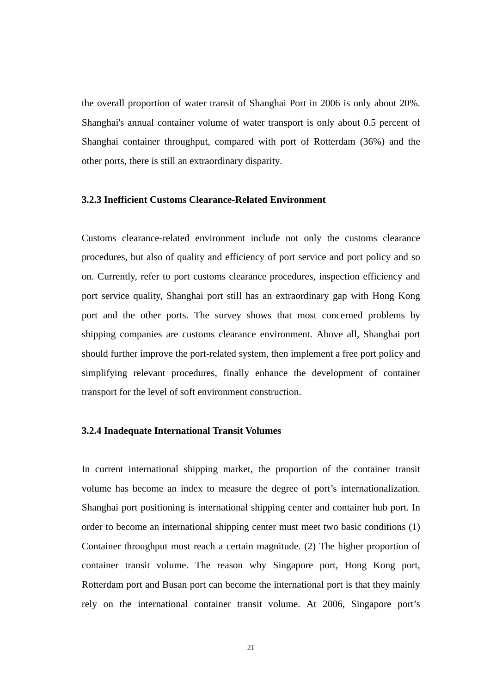<span id="page-32-0"></span>the overall proportion of water transit of Shanghai Port in 2006 is only about 20%. Shanghai's annual container volume of water transport is only about 0.5 percent of Shanghai container throughput, compared with port of Rotterdam (36%) and the other ports, there is still an extraordinary disparity.

### **3.2.3 Inefficient Customs Clearance-Related Environment**

Customs clearance-related environment include not only the customs clearance procedures, but also of quality and efficiency of port service and port policy and so on. Currently, refer to port customs clearance procedures, inspection efficiency and port service quality, Shanghai port still has an extraordinary gap with Hong Kong port and the other ports. The survey shows that most concerned problems by shipping companies are customs clearance environment. Above all, Shanghai port should further improve the port-related system, then implement a free port policy and simplifying relevant procedures, finally enhance the development of container transport for the level of soft environment construction.

#### **3.2.4 Inadequate International Transit Volumes**

In current international shipping market, the proportion of the container transit volume has become an index to measure the degree of port's internationalization. Shanghai port positioning is international shipping center and container hub port. In order to become an international shipping center must meet two basic conditions (1) Container throughput must reach a certain magnitude. (2) The higher proportion of container transit volume. The reason why Singapore port, Hong Kong port, Rotterdam port and Busan port can become the international port is that they mainly rely on the international container transit volume. At 2006, Singapore port's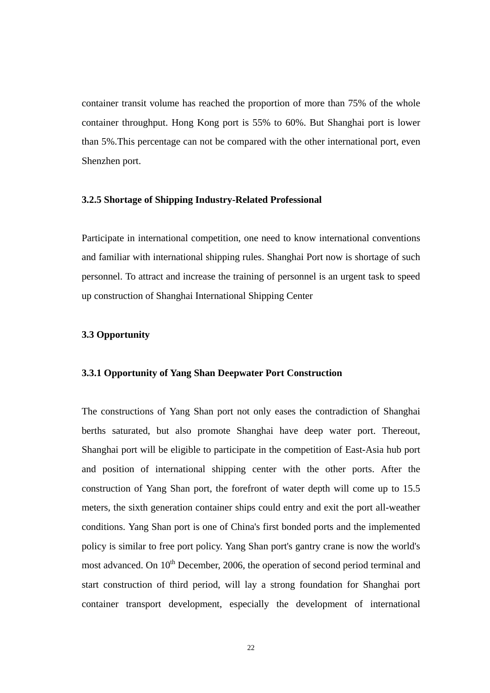<span id="page-33-0"></span>container transit volume has reached the proportion of more than 75% of the whole container throughput. Hong Kong port is 55% to 60%. But Shanghai port is lower than 5%.This percentage can not be compared with the other international port, even Shenzhen port.

### **3.2.5 Shortage of Shipping Industry-Related Professional**

Participate in international competition, one need to know international conventions and familiar with international shipping rules. Shanghai Port now is shortage of such personnel. To attract and increase the training of personnel is an urgent task to speed up construction of Shanghai International Shipping Center

## **3.3 Opportunity**

# **3.3.1 Opportunity of Yang Shan Deepwater Port Construction**

The constructions of Yang Shan port not only eases the contradiction of Shanghai berths saturated, but also promote Shanghai have deep water port. Thereout, Shanghai port will be eligible to participate in the competition of East-Asia hub port and position of international shipping center with the other ports. After the construction of Yang Shan port, the forefront of water depth will come up to 15.5 meters, the sixth generation container ships could entry and exit the port all-weather conditions. Yang Shan port is one of China's first bonded ports and the implemented policy is similar to free port policy. Yang Shan port's gantry crane is now the world's most advanced. On 10<sup>th</sup> December, 2006, the operation of second period terminal and start construction of third period, will lay a strong foundation for Shanghai port container transport development, especially the development of international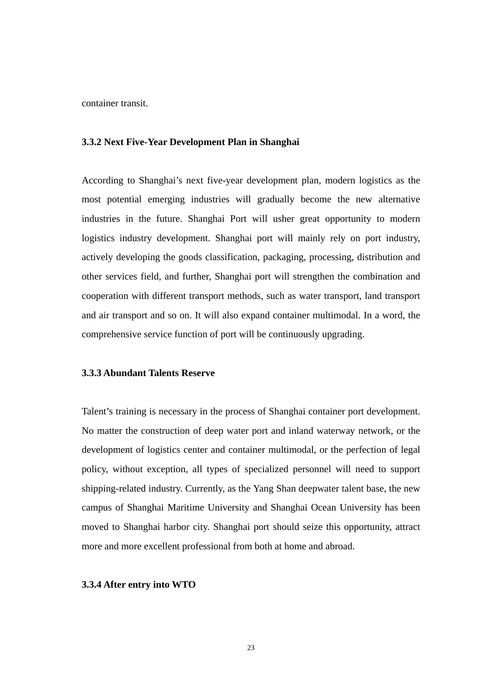<span id="page-34-0"></span>container transit.

## **3.3.2 Next Five-Year Development Plan in Shanghai**

According to Shanghai's next five-year development plan, modern logistics as the most potential emerging industries will gradually become the new alternative industries in the future. Shanghai Port will usher great opportunity to modern logistics industry development. Shanghai port will mainly rely on port industry, actively developing the goods classification, packaging, processing, distribution and other services field, and further, Shanghai port will strengthen the combination and cooperation with different transport methods, such as water transport, land transport and air transport and so on. It will also expand container multimodal. In a word, the comprehensive service function of port will be continuously upgrading.

# **3.3.3 Abundant Talents Reserve**

Talent's training is necessary in the process of Shanghai container port development. No matter the construction of deep water port and inland waterway network, or the development of logistics center and container multimodal, or the perfection of legal policy, without exception, all types of specialized personnel will need to support shipping-related industry. Currently, as the Yang Shan deepwater talent base, the new campus of Shanghai Maritime University and Shanghai Ocean University has been moved to Shanghai harbor city. Shanghai port should seize this opportunity, attract more and more excellent professional from both at home and abroad.

#### **3.3.4 After entry into WTO**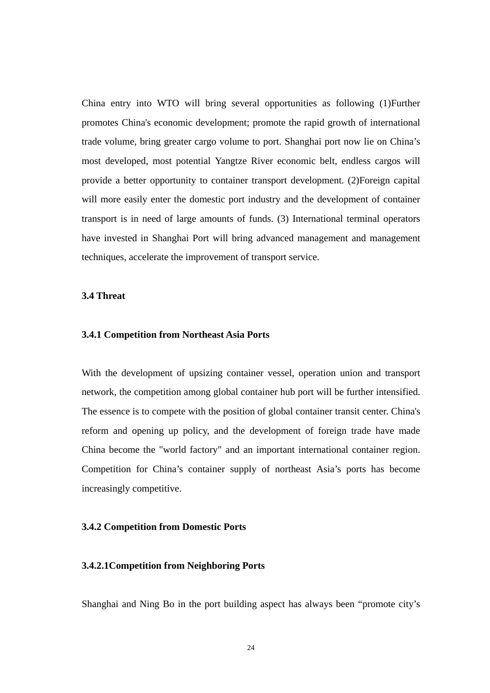<span id="page-35-0"></span>China entry into WTO will bring several opportunities as following (1)Further promotes China's economic development; promote the rapid growth of international trade volume, bring greater cargo volume to port. Shanghai port now lie on China's most developed, most potential Yangtze River economic belt, endless cargos will provide a better opportunity to container transport development. (2)Foreign capital will more easily enter the domestic port industry and the development of container transport is in need of large amounts of funds. (3) International terminal operators have invested in Shanghai Port will bring advanced management and management techniques, accelerate the improvement of transport service.

# **3.4 Threat**

#### **3.4.1 Competition from Northeast Asia Ports**

With the development of upsizing container vessel, operation union and transport network, the competition among global container hub port will be further intensified. The essence is to compete with the position of global container transit center. China's reform and opening up policy, and the development of foreign trade have made China become the "world factory" and an important international container region. Competition for China's container supply of northeast Asia's ports has become increasingly competitive.

## **3.4.2 Competition from Domestic Ports**

#### **3.4.2.1Competition from Neighboring Ports**

Shanghai and Ning Bo in the port building aspect has always been "promote city's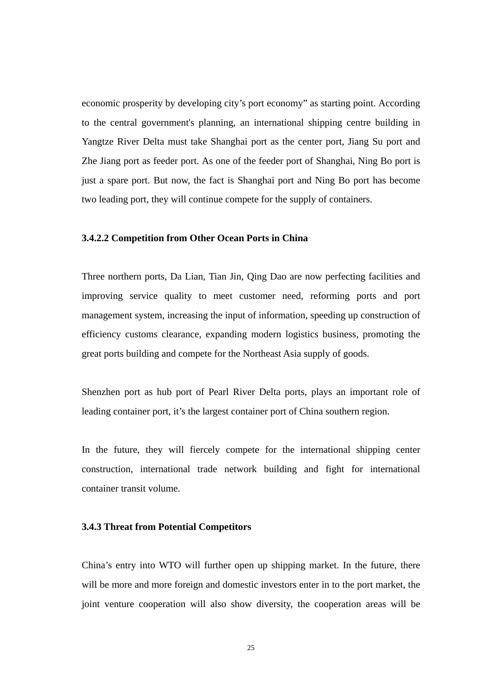economic prosperity by developing city's port economy" as starting point. According to the central government's planning, an international shipping centre building in Yangtze River Delta must take Shanghai port as the center port, Jiang Su port and Zhe Jiang port as feeder port. As one of the feeder port of Shanghai, Ning Bo port is just a spare port. But now, the fact is Shanghai port and Ning Bo port has become two leading port, they will continue compete for the supply of containers.

#### **3.4.2.2 Competition from Other Ocean Ports in China**

Three northern ports, Da Lian, Tian Jin, Qing Dao are now perfecting facilities and improving service quality to meet customer need, reforming ports and port management system, increasing the input of information, speeding up construction of efficiency customs clearance, expanding modern logistics business, promoting the great ports building and compete for the Northeast Asia supply of goods.

Shenzhen port as hub port of Pearl River Delta ports, plays an important role of leading container port, it's the largest container port of China southern region.

In the future, they will fiercely compete for the international shipping center construction, international trade network building and fight for international container transit volume.

#### **3.4.3 Threat from Potential Competitors**

China's entry into WTO will further open up shipping market. In the future, there will be more and more foreign and domestic investors enter in to the port market, the joint venture cooperation will also show diversity, the cooperation areas will be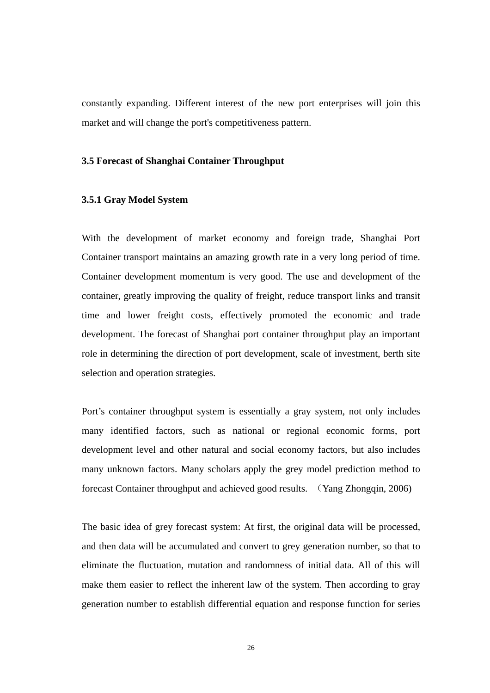constantly expanding. Different interest of the new port enterprises will join this market and will change the port's competitiveness pattern.

### **3.5 Forecast of Shanghai Container Throughput**

## **3.5.1 Gray Model System**

With the development of market economy and foreign trade, Shanghai Port Container transport maintains an amazing growth rate in a very long period of time. Container development momentum is very good. The use and development of the container, greatly improving the quality of freight, reduce transport links and transit time and lower freight costs, effectively promoted the economic and trade development. The forecast of Shanghai port container throughput play an important role in determining the direction of port development, scale of investment, berth site selection and operation strategies.

Port's container throughput system is essentially a gray system, not only includes many identified factors, such as national or regional economic forms, port development level and other natural and social economy factors, but also includes many unknown factors. Many scholars apply the grey model prediction method to forecast Container throughput and achieved good results. (Yang Zhongqin, 2006)

The basic idea of grey forecast system: At first, the original data will be processed, and then data will be accumulated and convert to grey generation number, so that to eliminate the fluctuation, mutation and randomness of initial data. All of this will make them easier to reflect the inherent law of the system. Then according to gray generation number to establish differential equation and response function for series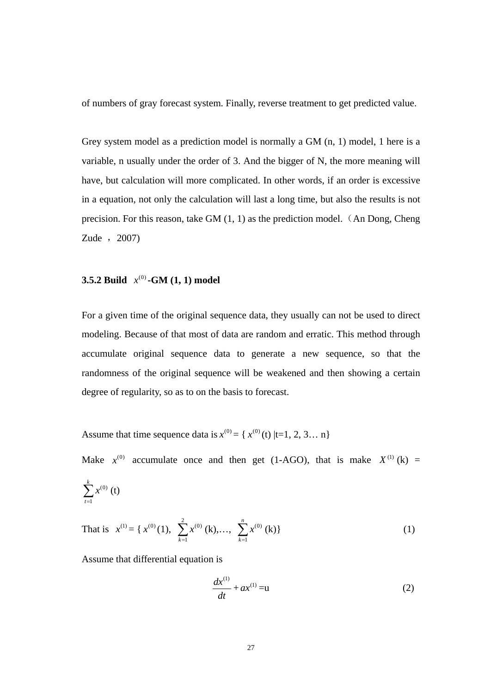of numbers of gray forecast system. Finally, reverse treatment to get predicted value.

Grey system model as a prediction model is normally a GM (n, 1) model, 1 here is a variable, n usually under the order of 3. And the bigger of N, the more meaning will have, but calculation will more complicated. In other words, if an order is excessive in a equation, not only the calculation will last a long time, but also the results is not precision. For this reason, take GM (1, 1) as the prediction model. (An Dong, Cheng Zude , 2007)

## **3.5.2 Build**  $x^{(0)}$  **-GM (1, 1) model**

For a given time of the original sequence data, they usually can not be used to direct modeling. Because of that most of data are random and erratic. This method through accumulate original sequence data to generate a new sequence, so that the randomness of the original sequence will be weakened and then showing a certain degree of regularity, so as to on the basis to forecast.

Assume that time sequence data is  $x^{(0)} = \{x^{(0)}(t) | t=1, 2, 3... \}$ 

Make  $x^{(0)}$  accumulate once and then get (1-AGO), that is make  $X^{(1)}$  (k) =

$$
\sum_{t=1}^{k} x^{(0)}\left(t\right)
$$

That is 
$$
x^{(1)} = \{ x^{(0)}(1), \sum_{k=1}^{2} x^{(0)}(k), \dots, \sum_{k=1}^{n} x^{(0)}(k) \}
$$
 (1)

Assume that differential equation is

$$
\frac{dx^{(1)}}{dt} + ax^{(1)} = u \tag{2}
$$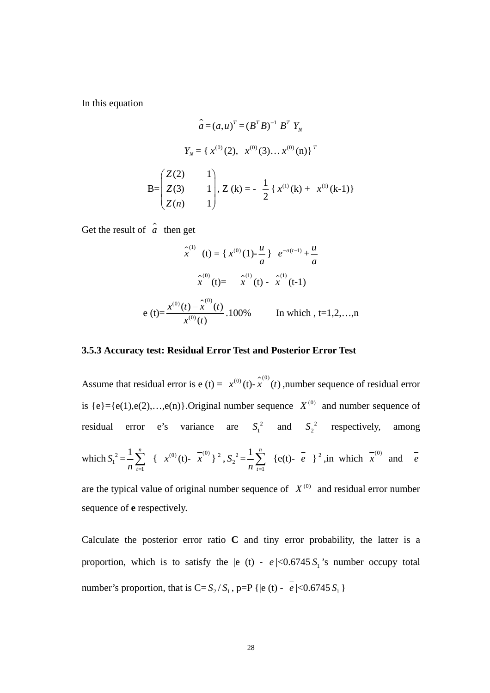In this equation

$$
\hat{a} = (a, u)^T = (B^T B)^{-1} B^T Y_N
$$
  
\n
$$
Y_N = \{ x^{(0)}(2), x^{(0)}(3) \dots x^{(0)}(n) \}^T
$$
  
\n
$$
B = \begin{pmatrix} Z(2) & 1 \\ Z(3) & 1 \\ Z(n) & 1 \end{pmatrix}, Z(k) = -\frac{1}{2} \{ x^{(1)}(k) + x^{(1)}(k-1) \}
$$

Get the result of  $\hat{a}$  then get

$$
\hat{x}^{(1)}(t) = \{x^{(0)}(1) - \frac{u}{a}\} e^{-a(t-1)} + \frac{u}{a}
$$

$$
\hat{x}^{(0)}(t) = \hat{x}^{(1)}(t) - \hat{x}^{(1)}(t-1)
$$

$$
e(t) = \frac{x^{(0)}(t) - \hat{x}^{(0)}(t)}{x^{(0)}(t)}.100\% \qquad \text{In which, t=1,2,...,n}
$$

## **3.5.3 Accuracy test: Residual Error Test and Posterior Error Test**

Assume that residual error is  $e(t) = x^{(0)}(t) - \hat{x}^{(0)}(t)$ , number sequence of residual error is  ${e}={e(1), e(2),...,e(n)}$ . Original number sequence  $X^{(0)}$  and number sequence of residual error e's variance are  $S_1^2$  and  $S_2^2$  respectively, among which  $S_1^2 =$ 1  $1\rightleftharpoons$  $\frac{1}{n} \sum_{t=1}^{n} \{ x^{(0)}(t) - \overline{x}^{(0)} \}^2$ ,  $S_2^2 =$ 1 *n t*=  $\frac{1}{n}\sum_{t=1}^{n}$  {e(t)-  $\overline{e}$  }<sup>2</sup>, in which  $\overline{x}^{(0)}$  and  $\overline{e}$ are the typical value of original number sequence of  $X^{(0)}$  and residual error number

sequence of **e** respectively.

Calculate the posterior error ratio  $C$  and tiny error probability, the latter is a proportion, which is to satisfy the  $|e(t) - e| < 0.6745 S<sub>1</sub>$ 's number occupy total number's proportion, that is  $C = S_2 / S_1$ , p=P { $|e(t) - e| < 0.6745 S_1$  }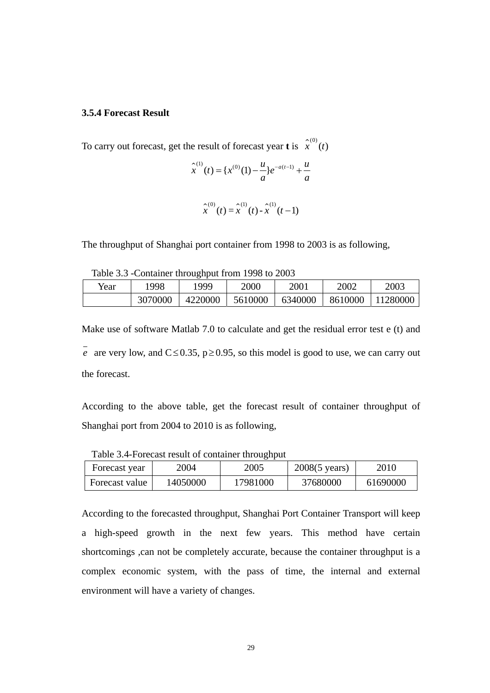## **3.5.4 Forecast Result**

To carry out forecast, get the result of forecast year **t** is  $\hat{x}^{(0)}(t)$ 

$$
\hat{x}^{(1)}(t) = \{x^{(0)}(1) - \frac{u}{a}\}e^{-a(t-1)} + \frac{u}{a}
$$

$$
\hat{x}^{(0)}(t) = \hat{x}^{(1)}(t) - \hat{x}^{(1)}(t-1)
$$

The throughput of Shanghai port container from 1998 to 2003 is as following,

Table 3.3 -Container throughput from 1998 to 2003

| Year | 1998    | 999     | 2000    | 2001    | 2002    | 2003     |
|------|---------|---------|---------|---------|---------|----------|
|      | 3070000 | 4220000 | 5610000 | 6340000 | 8610000 | 11280000 |

Make use of software Matlab 7.0 to calculate and get the residual error test e (t) and *e* are very low, and  $C \le 0.35$ ,  $p \ge 0.95$ , so this model is good to use, we can carry out the forecast.

According to the above table, get the forecast result of container throughput of Shanghai port from 2004 to 2010 is as following,

| Table 3.4-Forecast result of container throughput |  |  |
|---------------------------------------------------|--|--|
|                                                   |  |  |

| Forecast year  | 2004     | 2005     | $2008(5 \text{ years})$ | 2010     |
|----------------|----------|----------|-------------------------|----------|
| Forecast value | 14050000 | 17981000 | 37680000                | 61690000 |

According to the forecasted throughput, Shanghai Port Container Transport will keep a high-speed growth in the next few years. This method have certain shortcomings ,can not be completely accurate, because the container throughput is a complex economic system, with the pass of time, the internal and external environment will have a variety of changes.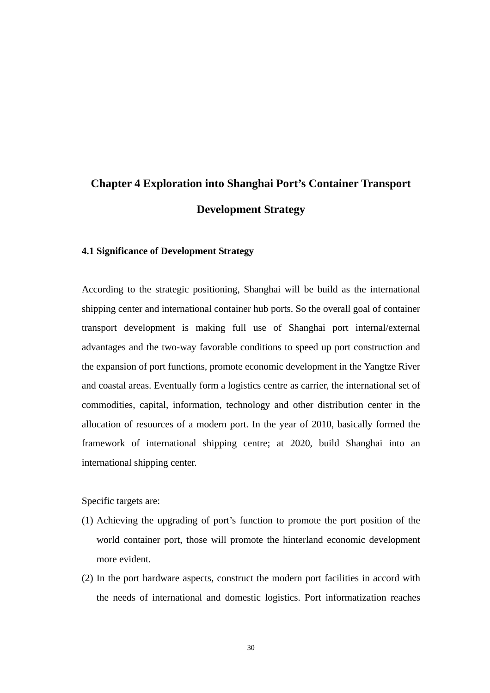# **Chapter 4 Exploration into Shanghai Port's Container Transport Development Strategy**

## **4.1 Significance of Development Strategy**

According to the strategic positioning, Shanghai will be build as the international shipping center and international container hub ports. So the overall goal of container transport development is making full use of Shanghai port internal/external advantages and the two-way favorable conditions to speed up port construction and the expansion of port functions, promote economic development in the Yangtze River and coastal areas. Eventually form a logistics centre as carrier, the international set of commodities, capital, information, technology and other distribution center in the allocation of resources of a modern port. In the year of 2010, basically formed the framework of international shipping centre; at 2020, build Shanghai into an international shipping center.

Specific targets are:

- (1) Achieving the upgrading of port's function to promote the port position of the world container port, those will promote the hinterland economic development more evident.
- (2) In the port hardware aspects, construct the modern port facilities in accord with the needs of international and domestic logistics. Port informatization reaches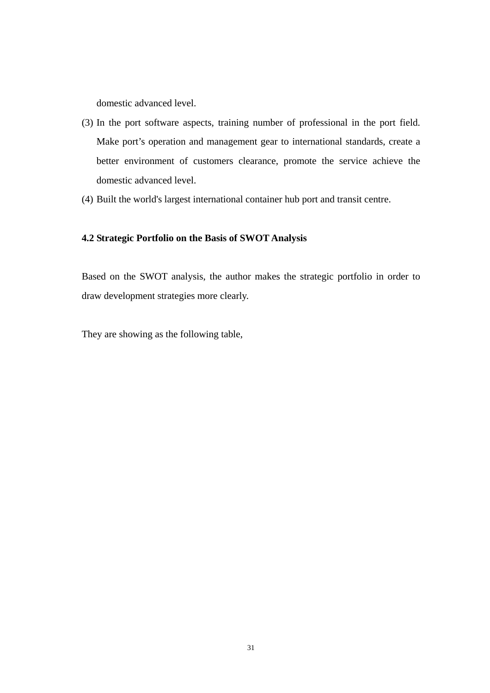domestic advanced level.

- (3) In the port software aspects, training number of professional in the port field. Make port's operation and management gear to international standards, create a better environment of customers clearance, promote the service achieve the domestic advanced level.
- (4) Built the world's largest international container hub port and transit centre.

#### **4.2 Strategic Portfolio on the Basis of SWOT Analysis**

Based on the SWOT analysis, the author makes the strategic portfolio in order to draw development strategies more clearly.

They are showing as the following table,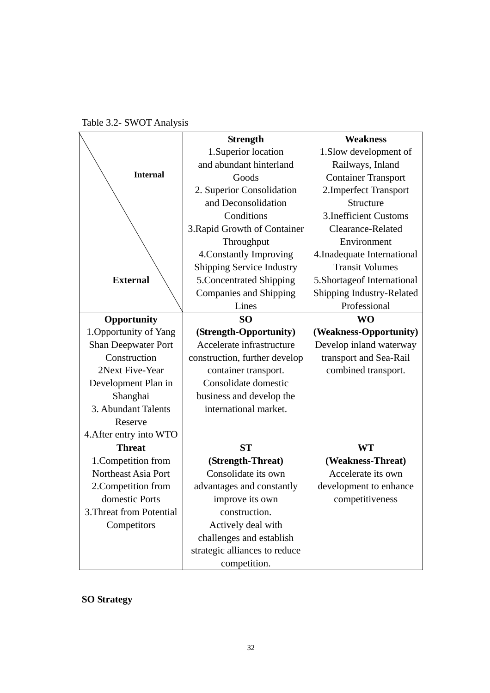Table 3.2- SWOT Analysis

|                            | <b>Strength</b>                  | <b>Weakness</b>              |
|----------------------------|----------------------------------|------------------------------|
|                            | 1. Superior location             | 1. Slow development of       |
|                            | and abundant hinterland          | Railways, Inland             |
| <b>Internal</b>            | Goods                            | <b>Container Transport</b>   |
|                            | 2. Superior Consolidation        | 2. Imperfect Transport       |
|                            | and Deconsolidation              | Structure                    |
|                            | Conditions                       | <b>3.Inefficient Customs</b> |
|                            | 3. Rapid Growth of Container     | Clearance-Related            |
|                            | Throughput                       | Environment                  |
|                            | 4. Constantly Improving          | 4. Inadequate International  |
|                            | <b>Shipping Service Industry</b> | <b>Transit Volumes</b>       |
| <b>External</b>            | 5. Concentrated Shipping         | 5.Shortageof International   |
|                            | <b>Companies and Shipping</b>    | Shipping Industry-Related    |
|                            | Lines                            | Professional                 |
| Opportunity                | <b>SO</b>                        | <b>WO</b>                    |
| 1. Opportunity of Yang     | (Strength-Opportunity)           | (Weakness-Opportunity)       |
| <b>Shan Deepwater Port</b> | Accelerate infrastructure        | Develop inland waterway      |
| Construction               | construction, further develop    | transport and Sea-Rail       |
| 2Next Five-Year            | container transport.             | combined transport.          |
| Development Plan in        | Consolidate domestic             |                              |
| Shanghai                   | business and develop the         |                              |
| 3. Abundant Talents        | international market.            |                              |
| Reserve                    |                                  |                              |
| 4. After entry into WTO    |                                  |                              |
| <b>Threat</b>              | <b>ST</b>                        | <b>WT</b>                    |
| 1. Competition from        | (Strength-Threat)                | (Weakness-Threat)            |
| Northeast Asia Port        | Consolidate its own              | Accelerate its own           |
| 2. Competition from        | advantages and constantly        | development to enhance       |
| domestic Ports             | improve its own                  | competitiveness              |
| 3. Threat from Potential   | construction.                    |                              |
| Competitors                | Actively deal with               |                              |
|                            | challenges and establish         |                              |
|                            | strategic alliances to reduce    |                              |
|                            | competition.                     |                              |

**SO Strategy**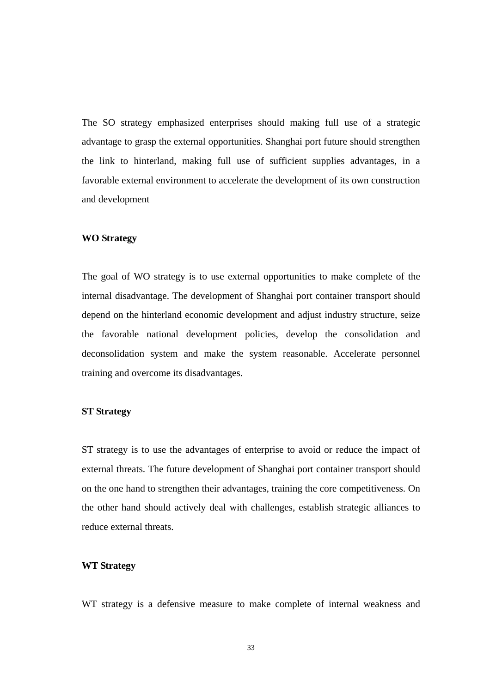The SO strategy emphasized enterprises should making full use of a strategic advantage to grasp the external opportunities. Shanghai port future should strengthen the link to hinterland, making full use of sufficient supplies advantages, in a favorable external environment to accelerate the development of its own construction and development

#### **WO Strategy**

The goal of WO strategy is to use external opportunities to make complete of the internal disadvantage. The development of Shanghai port container transport should depend on the hinterland economic development and adjust industry structure, seize the favorable national development policies, develop the consolidation and deconsolidation system and make the system reasonable. Accelerate personnel training and overcome its disadvantages.

#### **ST Strategy**

ST strategy is to use the advantages of enterprise to avoid or reduce the impact of external threats. The future development of Shanghai port container transport should on the one hand to strengthen their advantages, training the core competitiveness. On the other hand should actively deal with challenges, establish strategic alliances to reduce external threats.

## **WT Strategy**

WT strategy is a defensive measure to make complete of internal weakness and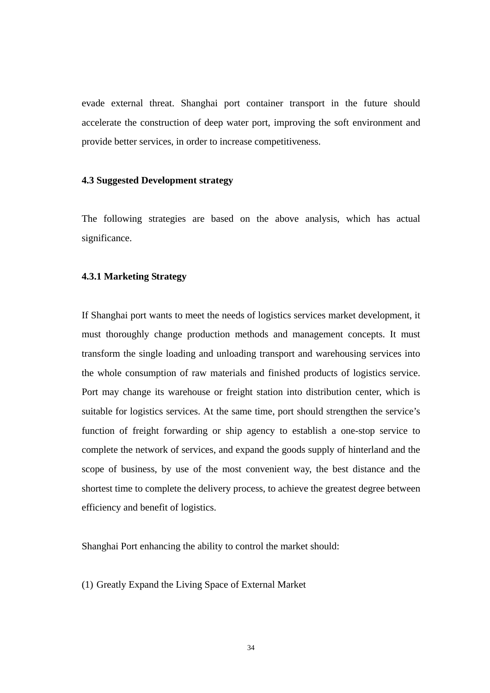evade external threat. Shanghai port container transport in the future should accelerate the construction of deep water port, improving the soft environment and provide better services, in order to increase competitiveness.

## **4.3 Suggested Development strategy**

The following strategies are based on the above analysis, which has actual significance.

#### **4.3.1 Marketing Strategy**

If Shanghai port wants to meet the needs of logistics services market development, it must thoroughly change production methods and management concepts. It must transform the single loading and unloading transport and warehousing services into the whole consumption of raw materials and finished products of logistics service. Port may change its warehouse or freight station into distribution center, which is suitable for logistics services. At the same time, port should strengthen the service's function of freight forwarding or ship agency to establish a one-stop service to complete the network of services, and expand the goods supply of hinterland and the scope of business, by use of the most convenient way, the best distance and the shortest time to complete the delivery process, to achieve the greatest degree between efficiency and benefit of logistics.

Shanghai Port enhancing the ability to control the market should:

(1) Greatly Expand the Living Space of External Market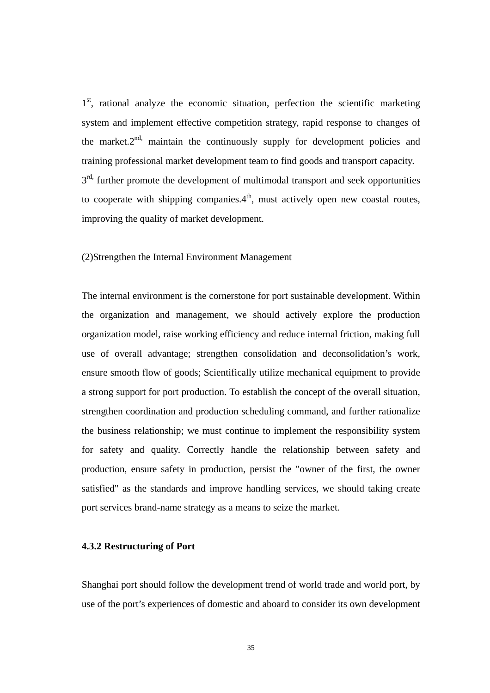1<sup>st</sup>, rational analyze the economic situation, perfection the scientific marketing system and implement effective competition strategy, rapid response to changes of the market. $2^{nd}$ , maintain the continuously supply for development policies and training professional market development team to find goods and transport capacity.  $3<sup>rd</sup>$ , further promote the development of multimodal transport and seek opportunities to cooperate with shipping companies. $4<sup>th</sup>$ , must actively open new coastal routes, improving the quality of market development.

(2)Strengthen the Internal Environment Management

The internal environment is the cornerstone for port sustainable development. Within the organization and management, we should actively explore the production organization model, raise working efficiency and reduce internal friction, making full use of overall advantage; strengthen consolidation and deconsolidation's work, ensure smooth flow of goods; Scientifically utilize mechanical equipment to provide a strong support for port production. To establish the concept of the overall situation, strengthen coordination and production scheduling command, and further rationalize the business relationship; we must continue to implement the responsibility system for safety and quality. Correctly handle the relationship between safety and production, ensure safety in production, persist the "owner of the first, the owner satisfied" as the standards and improve handling services, we should taking create port services brand-name strategy as a means to seize the market.

## **4.3.2 Restructuring of Port**

Shanghai port should follow the development trend of world trade and world port, by use of the port's experiences of domestic and aboard to consider its own development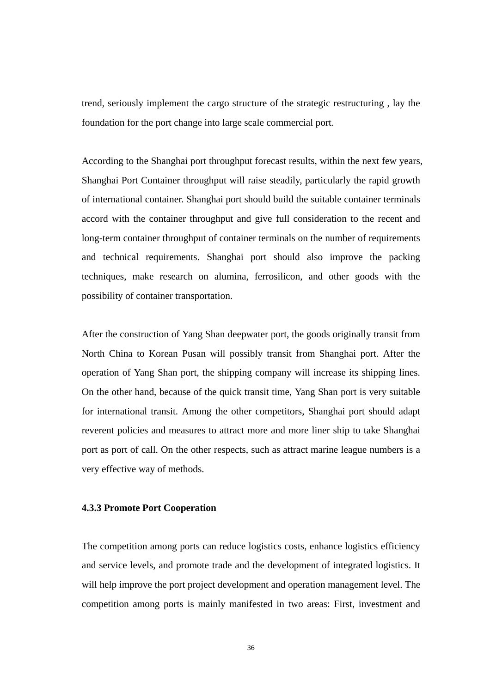trend, seriously implement the cargo structure of the strategic restructuring , lay the foundation for the port change into large scale commercial port.

According to the Shanghai port throughput forecast results, within the next few years, Shanghai Port Container throughput will raise steadily, particularly the rapid growth of international container. Shanghai port should build the suitable container terminals accord with the container throughput and give full consideration to the recent and long-term container throughput of container terminals on the number of requirements and technical requirements. Shanghai port should also improve the packing techniques, make research on alumina, ferrosilicon, and other goods with the possibility of container transportation.

After the construction of Yang Shan deepwater port, the goods originally transit from North China to Korean Pusan will possibly transit from Shanghai port. After the operation of Yang Shan port, the shipping company will increase its shipping lines. On the other hand, because of the quick transit time, Yang Shan port is very suitable for international transit. Among the other competitors, Shanghai port should adapt reverent policies and measures to attract more and more liner ship to take Shanghai port as port of call. On the other respects, such as attract marine league numbers is a very effective way of methods.

#### **4.3.3 Promote Port Cooperation**

The competition among ports can reduce logistics costs, enhance logistics efficiency and service levels, and promote trade and the development of integrated logistics. It will help improve the port project development and operation management level. The competition among ports is mainly manifested in two areas: First, investment and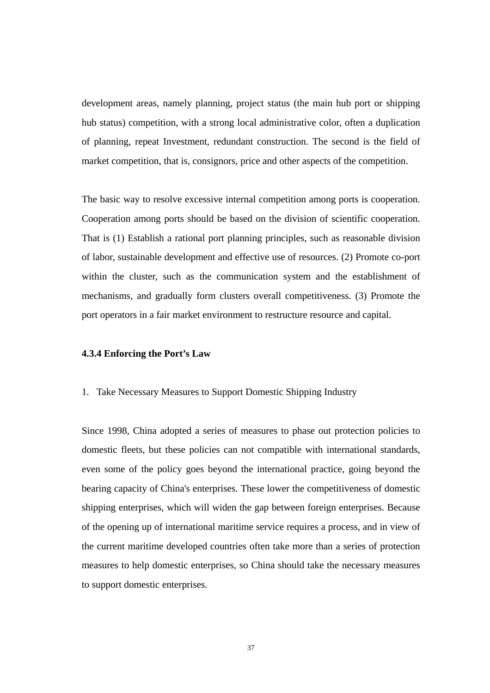development areas, namely planning, project status (the main hub port or shipping hub status) competition, with a strong local administrative color, often a duplication of planning, repeat Investment, redundant construction. The second is the field of market competition, that is, consignors, price and other aspects of the competition.

The basic way to resolve excessive internal competition among ports is cooperation. Cooperation among ports should be based on the division of scientific cooperation. That is (1) Establish a rational port planning principles, such as reasonable division of labor, sustainable development and effective use of resources. (2) Promote co-port within the cluster, such as the communication system and the establishment of mechanisms, and gradually form clusters overall competitiveness. (3) Promote the port operators in a fair market environment to restructure resource and capital.

#### **4.3.4 Enforcing the Port's Law**

#### 1. Take Necessary Measures to Support Domestic Shipping Industry

Since 1998, China adopted a series of measures to phase out protection policies to domestic fleets, but these policies can not compatible with international standards, even some of the policy goes beyond the international practice, going beyond the bearing capacity of China's enterprises. These lower the competitiveness of domestic shipping enterprises, which will widen the gap between foreign enterprises. Because of the opening up of international maritime service requires a process, and in view of the current maritime developed countries often take more than a series of protection measures to help domestic enterprises, so China should take the necessary measures to support domestic enterprises.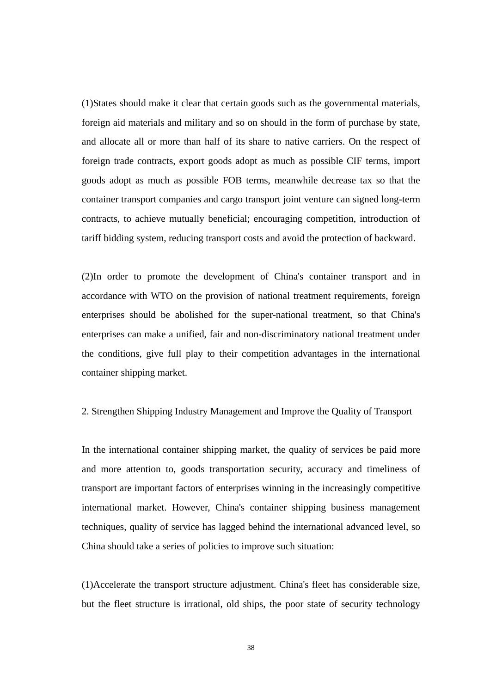(1)States should make it clear that certain goods such as the governmental materials, foreign aid materials and military and so on should in the form of purchase by state, and allocate all or more than half of its share to native carriers. On the respect of foreign trade contracts, export goods adopt as much as possible CIF terms, import goods adopt as much as possible FOB terms, meanwhile decrease tax so that the container transport companies and cargo transport joint venture can signed long-term contracts, to achieve mutually beneficial; encouraging competition, introduction of tariff bidding system, reducing transport costs and avoid the protection of backward.

(2)In order to promote the development of China's container transport and in accordance with WTO on the provision of national treatment requirements, foreign enterprises should be abolished for the super-national treatment, so that China's enterprises can make a unified, fair and non-discriminatory national treatment under the conditions, give full play to their competition advantages in the international container shipping market.

#### 2. Strengthen Shipping Industry Management and Improve the Quality of Transport

In the international container shipping market, the quality of services be paid more and more attention to, goods transportation security, accuracy and timeliness of transport are important factors of enterprises winning in the increasingly competitive international market. However, China's container shipping business management techniques, quality of service has lagged behind the international advanced level, so China should take a series of policies to improve such situation:

(1)Accelerate the transport structure adjustment. China's fleet has considerable size, but the fleet structure is irrational, old ships, the poor state of security technology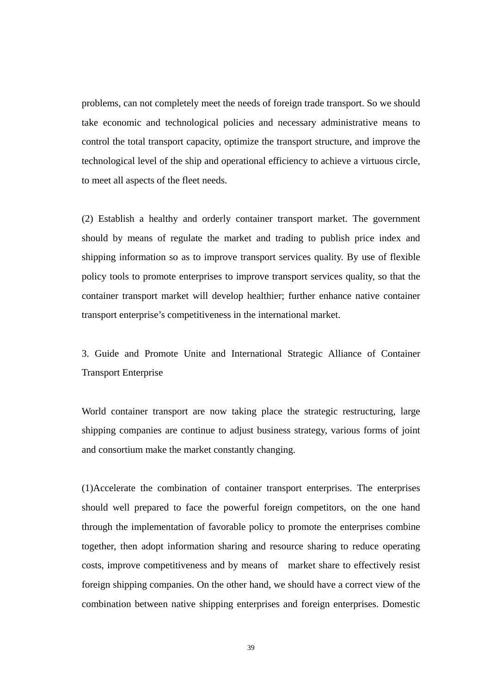problems, can not completely meet the needs of foreign trade transport. So we should take economic and technological policies and necessary administrative means to control the total transport capacity, optimize the transport structure, and improve the technological level of the ship and operational efficiency to achieve a virtuous circle, to meet all aspects of the fleet needs.

(2) Establish a healthy and orderly container transport market. The government should by means of regulate the market and trading to publish price index and shipping information so as to improve transport services quality. By use of flexible policy tools to promote enterprises to improve transport services quality, so that the container transport market will develop healthier; further enhance native container transport enterprise's competitiveness in the international market.

3. Guide and Promote Unite and International Strategic Alliance of Container Transport Enterprise

World container transport are now taking place the strategic restructuring, large shipping companies are continue to adjust business strategy, various forms of joint and consortium make the market constantly changing.

(1)Accelerate the combination of container transport enterprises. The enterprises should well prepared to face the powerful foreign competitors, on the one hand through the implementation of favorable policy to promote the enterprises combine together, then adopt information sharing and resource sharing to reduce operating costs, improve competitiveness and by means of market share to effectively resist foreign shipping companies. On the other hand, we should have a correct view of the combination between native shipping enterprises and foreign enterprises. Domestic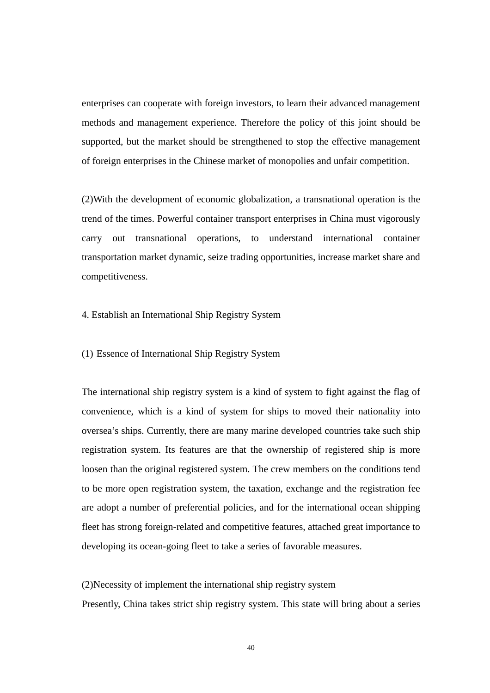enterprises can cooperate with foreign investors, to learn their advanced management methods and management experience. Therefore the policy of this joint should be supported, but the market should be strengthened to stop the effective management of foreign enterprises in the Chinese market of monopolies and unfair competition.

(2)With the development of economic globalization, a transnational operation is the trend of the times. Powerful container transport enterprises in China must vigorously carry out transnational operations, to understand international container transportation market dynamic, seize trading opportunities, increase market share and competitiveness.

4. Establish an International Ship Registry System

(1) Essence of International Ship Registry System

The international ship registry system is a kind of system to fight against the flag of convenience, which is a kind of system for ships to moved their nationality into oversea's ships. Currently, there are many marine developed countries take such ship registration system. Its features are that the ownership of registered ship is more loosen than the original registered system. The crew members on the conditions tend to be more open registration system, the taxation, exchange and the registration fee are adopt a number of preferential policies, and for the international ocean shipping fleet has strong foreign-related and competitive features, attached great importance to developing its ocean-going fleet to take a series of favorable measures.

(2)Necessity of implement the international ship registry system

Presently, China takes strict ship registry system. This state will bring about a series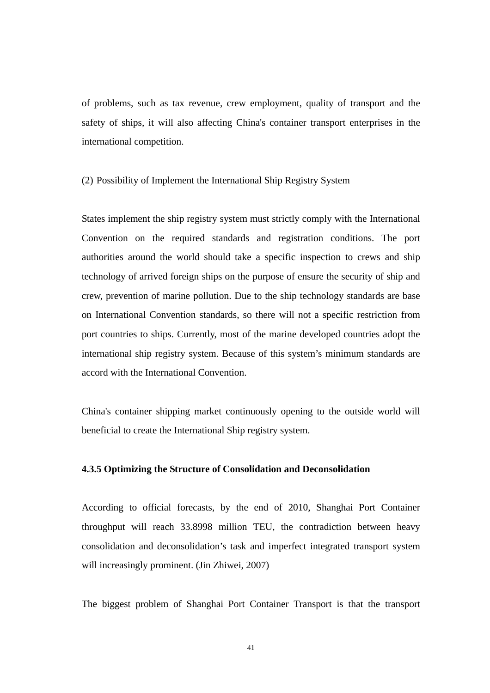of problems, such as tax revenue, crew employment, quality of transport and the safety of ships, it will also affecting China's container transport enterprises in the international competition.

#### (2) Possibility of Implement the International Ship Registry System

States implement the ship registry system must strictly comply with the International Convention on the required standards and registration conditions. The port authorities around the world should take a specific inspection to crews and ship technology of arrived foreign ships on the purpose of ensure the security of ship and crew, prevention of marine pollution. Due to the ship technology standards are base on International Convention standards, so there will not a specific restriction from port countries to ships. Currently, most of the marine developed countries adopt the international ship registry system. Because of this system's minimum standards are accord with the International Convention.

China's container shipping market continuously opening to the outside world will beneficial to create the International Ship registry system.

#### **4.3.5 Optimizing the Structure of Consolidation and Deconsolidation**

According to official forecasts, by the end of 2010, Shanghai Port Container throughput will reach 33.8998 million TEU, the contradiction between heavy consolidation and deconsolidation's task and imperfect integrated transport system will increasingly prominent. (Jin Zhiwei, 2007)

The biggest problem of Shanghai Port Container Transport is that the transport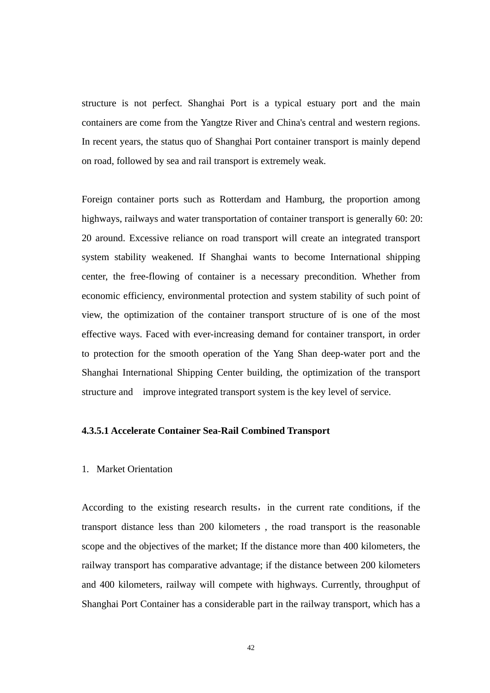structure is not perfect. Shanghai Port is a typical estuary port and the main containers are come from the Yangtze River and China's central and western regions. In recent years, the status quo of Shanghai Port container transport is mainly depend on road, followed by sea and rail transport is extremely weak.

Foreign container ports such as Rotterdam and Hamburg, the proportion among highways, railways and water transportation of container transport is generally 60: 20: 20 around. Excessive reliance on road transport will create an integrated transport system stability weakened. If Shanghai wants to become International shipping center, the free-flowing of container is a necessary precondition. Whether from economic efficiency, environmental protection and system stability of such point of view, the optimization of the container transport structure of is one of the most effective ways. Faced with ever-increasing demand for container transport, in order to protection for the smooth operation of the Yang Shan deep-water port and the Shanghai International Shipping Center building, the optimization of the transport structure and improve integrated transport system is the key level of service.

## **4.3.5.1 Accelerate Container Sea-Rail Combined Transport**

#### 1. Market Orientation

According to the existing research results, in the current rate conditions, if the transport distance less than 200 kilometers , the road transport is the reasonable scope and the objectives of the market; If the distance more than 400 kilometers, the railway transport has comparative advantage; if the distance between 200 kilometers and 400 kilometers, railway will compete with highways. Currently, throughput of Shanghai Port Container has a considerable part in the railway transport, which has a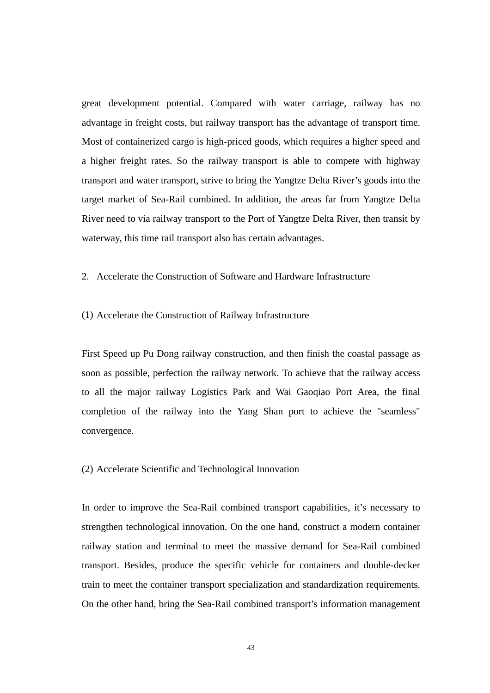great development potential. Compared with water carriage, railway has no advantage in freight costs, but railway transport has the advantage of transport time. Most of containerized cargo is high-priced goods, which requires a higher speed and a higher freight rates. So the railway transport is able to compete with highway transport and water transport, strive to bring the Yangtze Delta River's goods into the target market of Sea-Rail combined. In addition, the areas far from Yangtze Delta River need to via railway transport to the Port of Yangtze Delta River, then transit by waterway, this time rail transport also has certain advantages.

## 2. Accelerate the Construction of Software and Hardware Infrastructure

#### (1) Accelerate the Construction of Railway Infrastructure

First Speed up Pu Dong railway construction, and then finish the coastal passage as soon as possible, perfection the railway network. To achieve that the railway access to all the major railway Logistics Park and Wai Gaoqiao Port Area, the final completion of the railway into the Yang Shan port to achieve the "seamless" convergence.

#### (2) Accelerate Scientific and Technological Innovation

In order to improve the Sea-Rail combined transport capabilities, it's necessary to strengthen technological innovation. On the one hand, construct a modern container railway station and terminal to meet the massive demand for Sea-Rail combined transport. Besides, produce the specific vehicle for containers and double-decker train to meet the container transport specialization and standardization requirements. On the other hand, bring the Sea-Rail combined transport's information management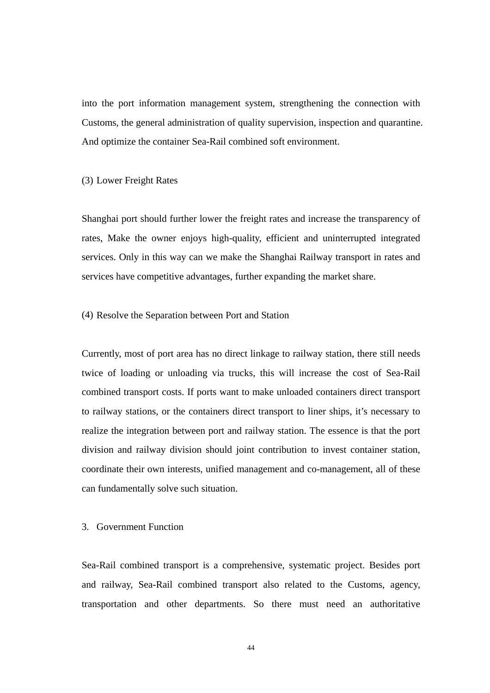into the port information management system, strengthening the connection with Customs, the general administration of quality supervision, inspection and quarantine. And optimize the container Sea-Rail combined soft environment.

#### (3) Lower Freight Rates

Shanghai port should further lower the freight rates and increase the transparency of rates, Make the owner enjoys high-quality, efficient and uninterrupted integrated services. Only in this way can we make the Shanghai Railway transport in rates and services have competitive advantages, further expanding the market share.

#### (4) Resolve the Separation between Port and Station

Currently, most of port area has no direct linkage to railway station, there still needs twice of loading or unloading via trucks, this will increase the cost of Sea-Rail combined transport costs. If ports want to make unloaded containers direct transport to railway stations, or the containers direct transport to liner ships, it's necessary to realize the integration between port and railway station. The essence is that the port division and railway division should joint contribution to invest container station, coordinate their own interests, unified management and co-management, all of these can fundamentally solve such situation.

## 3. Government Function

Sea-Rail combined transport is a comprehensive, systematic project. Besides port and railway, Sea-Rail combined transport also related to the Customs, agency, transportation and other departments. So there must need an authoritative

44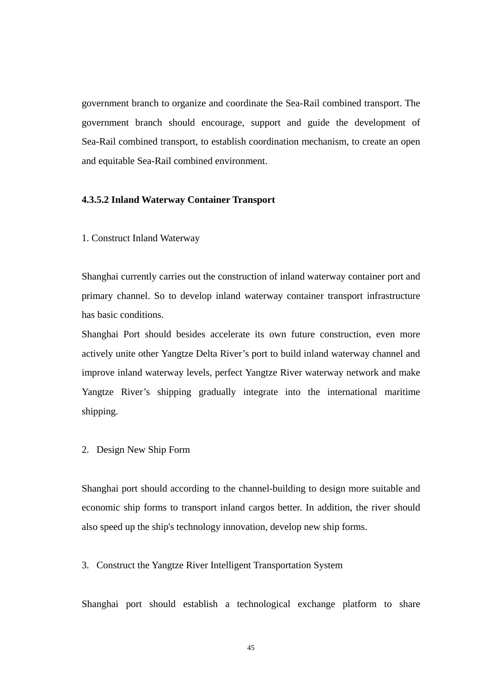government branch to organize and coordinate the Sea-Rail combined transport. The government branch should encourage, support and guide the development of Sea-Rail combined transport, to establish coordination mechanism, to create an open and equitable Sea-Rail combined environment.

#### **4.3.5.2 Inland Waterway Container Transport**

1. Construct Inland Waterway

Shanghai currently carries out the construction of inland waterway container port and primary channel. So to develop inland waterway container transport infrastructure has basic conditions.

Shanghai Port should besides accelerate its own future construction, even more actively unite other Yangtze Delta River's port to build inland waterway channel and improve inland waterway levels, perfect Yangtze River waterway network and make Yangtze River's shipping gradually integrate into the international maritime shipping.

2. Design New Ship Form

Shanghai port should according to the channel-building to design more suitable and economic ship forms to transport inland cargos better. In addition, the river should also speed up the ship's technology innovation, develop new ship forms.

3. Construct the Yangtze River Intelligent Transportation System

Shanghai port should establish a technological exchange platform to share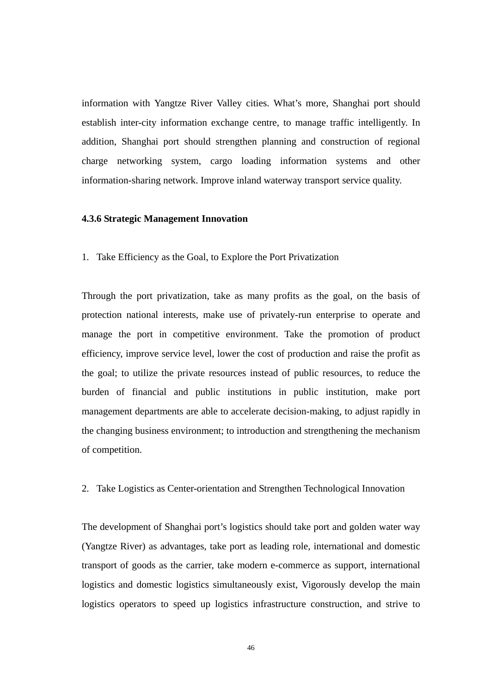information with Yangtze River Valley cities. What's more, Shanghai port should establish inter-city information exchange centre, to manage traffic intelligently. In addition, Shanghai port should strengthen planning and construction of regional charge networking system, cargo loading information systems and other information-sharing network. Improve inland waterway transport service quality.

#### **4.3.6 Strategic Management Innovation**

1. Take Efficiency as the Goal, to Explore the Port Privatization

Through the port privatization, take as many profits as the goal, on the basis of protection national interests, make use of privately-run enterprise to operate and manage the port in competitive environment. Take the promotion of product efficiency, improve service level, lower the cost of production and raise the profit as the goal; to utilize the private resources instead of public resources, to reduce the burden of financial and public institutions in public institution, make port management departments are able to accelerate decision-making, to adjust rapidly in the changing business environment; to introduction and strengthening the mechanism of competition.

2. Take Logistics as Center-orientation and Strengthen Technological Innovation

The development of Shanghai port's logistics should take port and golden water way (Yangtze River) as advantages, take port as leading role, international and domestic transport of goods as the carrier, take modern e-commerce as support, international logistics and domestic logistics simultaneously exist, Vigorously develop the main logistics operators to speed up logistics infrastructure construction, and strive to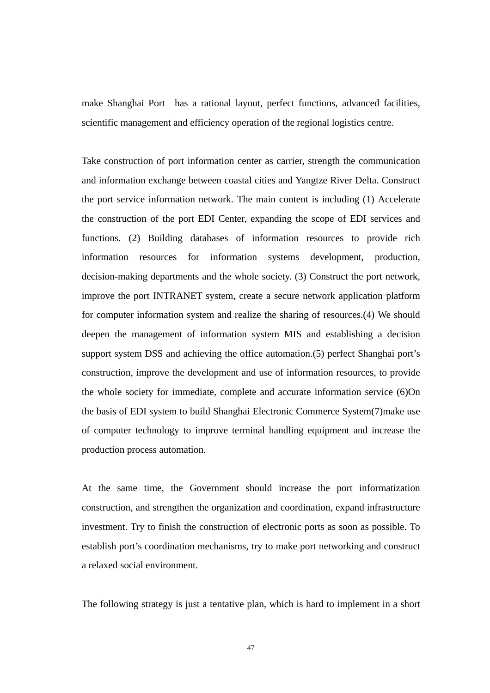make Shanghai Port has a rational layout, perfect functions, advanced facilities, scientific management and efficiency operation of the regional logistics centre.

Take construction of port information center as carrier, strength the communication and information exchange between coastal cities and Yangtze River Delta. Construct the port service information network. The main content is including (1) Accelerate the construction of the port EDI Center, expanding the scope of EDI services and functions. (2) Building databases of information resources to provide rich information resources for information systems development, production, decision-making departments and the whole society. (3) Construct the port network, improve the port INTRANET system, create a secure network application platform for computer information system and realize the sharing of resources.(4) We should deepen the management of information system MIS and establishing a decision support system DSS and achieving the office automation.(5) perfect Shanghai port's construction, improve the development and use of information resources, to provide the whole society for immediate, complete and accurate information service (6)On the basis of EDI system to build Shanghai Electronic Commerce System(7)make use of computer technology to improve terminal handling equipment and increase the production process automation.

At the same time, the Government should increase the port informatization construction, and strengthen the organization and coordination, expand infrastructure investment. Try to finish the construction of electronic ports as soon as possible. To establish port's coordination mechanisms, try to make port networking and construct a relaxed social environment.

The following strategy is just a tentative plan, which is hard to implement in a short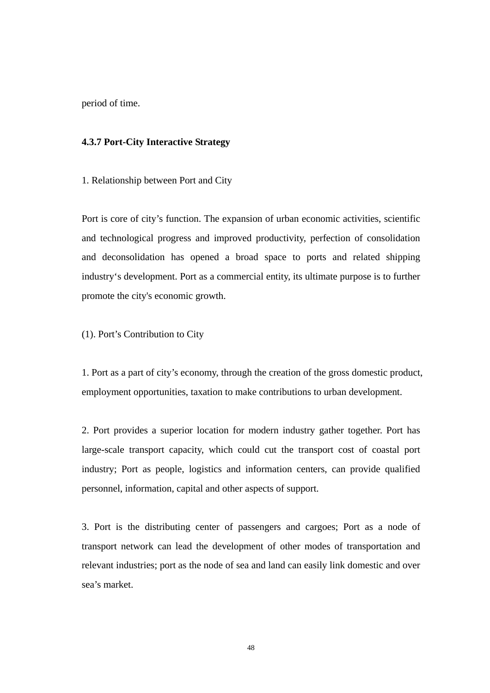period of time.

## **4.3.7 Port-City Interactive Strategy**

1. Relationship between Port and City

Port is core of city's function. The expansion of urban economic activities, scientific and technological progress and improved productivity, perfection of consolidation and deconsolidation has opened a broad space to ports and related shipping industry's development. Port as a commercial entity, its ultimate purpose is to further promote the city's economic growth.

(1). Port's Contribution to City

1. Port as a part of city's economy, through the creation of the gross domestic product, employment opportunities, taxation to make contributions to urban development.

2. Port provides a superior location for modern industry gather together. Port has large-scale transport capacity, which could cut the transport cost of coastal port industry; Port as people, logistics and information centers, can provide qualified personnel, information, capital and other aspects of support.

3. Port is the distributing center of passengers and cargoes; Port as a node of transport network can lead the development of other modes of transportation and relevant industries; port as the node of sea and land can easily link domestic and over sea's market.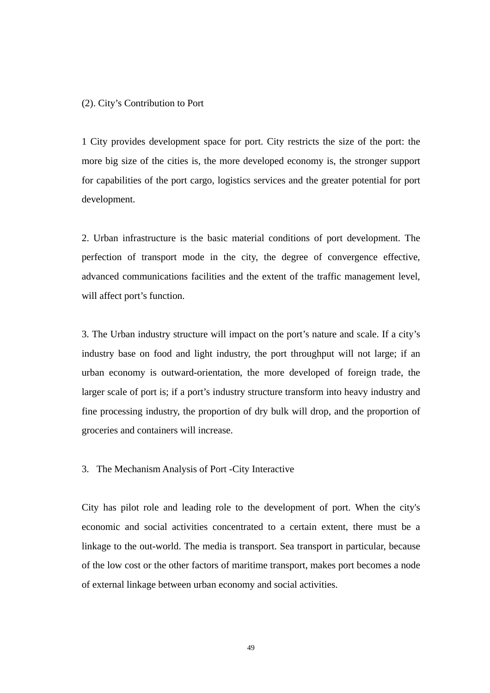#### (2). City's Contribution to Port

1 City provides development space for port. City restricts the size of the port: the more big size of the cities is, the more developed economy is, the stronger support for capabilities of the port cargo, logistics services and the greater potential for port development.

2. Urban infrastructure is the basic material conditions of port development. The perfection of transport mode in the city, the degree of convergence effective, advanced communications facilities and the extent of the traffic management level, will affect port's function.

3. The Urban industry structure will impact on the port's nature and scale. If a city's industry base on food and light industry, the port throughput will not large; if an urban economy is outward-orientation, the more developed of foreign trade, the larger scale of port is; if a port's industry structure transform into heavy industry and fine processing industry, the proportion of dry bulk will drop, and the proportion of groceries and containers will increase.

#### 3. The Mechanism Analysis of Port -City Interactive

City has pilot role and leading role to the development of port. When the city's economic and social activities concentrated to a certain extent, there must be a linkage to the out-world. The media is transport. Sea transport in particular, because of the low cost or the other factors of maritime transport, makes port becomes a node of external linkage between urban economy and social activities.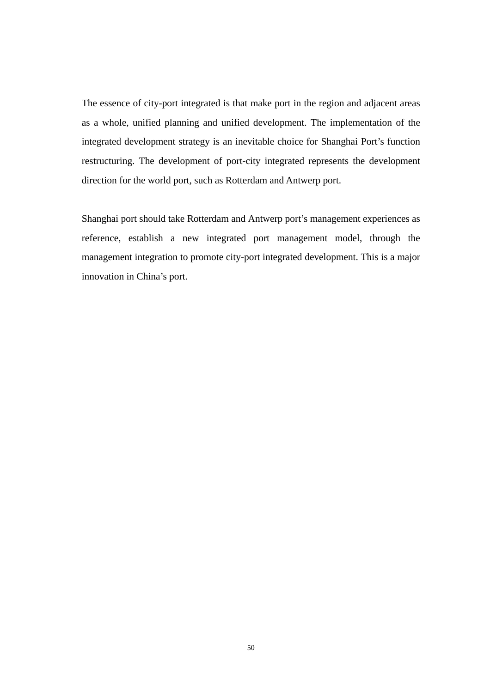The essence of city-port integrated is that make port in the region and adjacent areas as a whole, unified planning and unified development. The implementation of the integrated development strategy is an inevitable choice for Shanghai Port's function restructuring. The development of port-city integrated represents the development direction for the world port, such as Rotterdam and Antwerp port.

Shanghai port should take Rotterdam and Antwerp port's management experiences as reference, establish a new integrated port management model, through the management integration to promote city-port integrated development. This is a major innovation in China's port.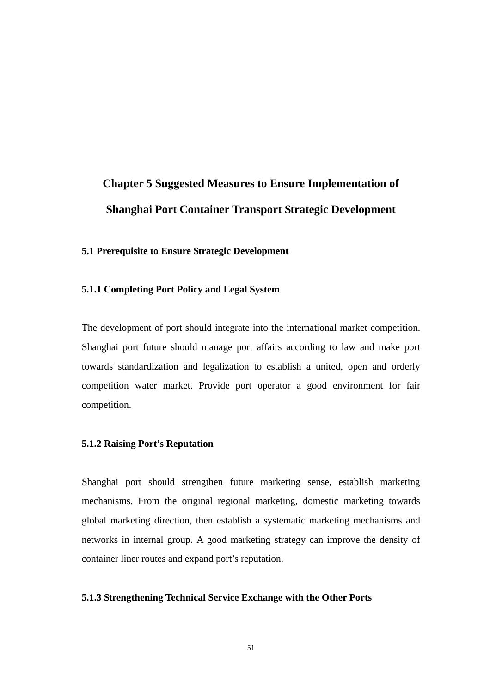# **Chapter 5 Suggested Measures to Ensure Implementation of Shanghai Port Container Transport Strategic Development**

## **5.1 Prerequisite to Ensure Strategic Development**

#### **5.1.1 Completing Port Policy and Legal System**

The development of port should integrate into the international market competition. Shanghai port future should manage port affairs according to law and make port towards standardization and legalization to establish a united, open and orderly competition water market. Provide port operator a good environment for fair competition.

### **5.1.2 Raising Port's Reputation**

Shanghai port should strengthen future marketing sense, establish marketing mechanisms. From the original regional marketing, domestic marketing towards global marketing direction, then establish a systematic marketing mechanisms and networks in internal group. A good marketing strategy can improve the density of container liner routes and expand port's reputation.

#### **5.1.3 Strengthening Technical Service Exchange with the Other Ports**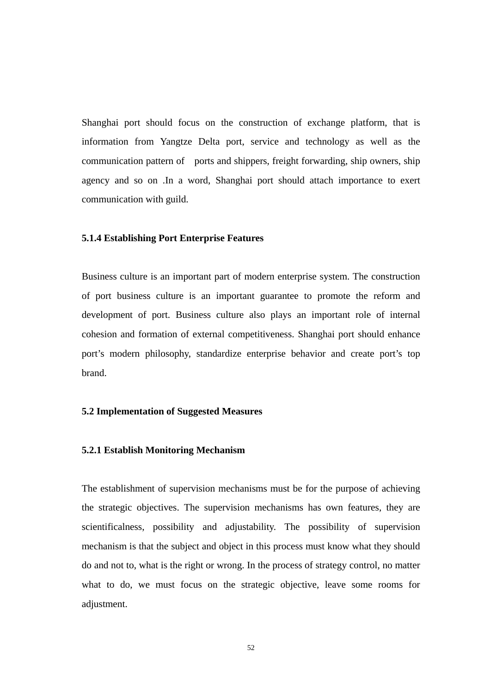Shanghai port should focus on the construction of exchange platform, that is information from Yangtze Delta port, service and technology as well as the communication pattern of ports and shippers, freight forwarding, ship owners, ship agency and so on .In a word, Shanghai port should attach importance to exert communication with guild.

#### **5.1.4 Establishing Port Enterprise Features**

Business culture is an important part of modern enterprise system. The construction of port business culture is an important guarantee to promote the reform and development of port. Business culture also plays an important role of internal cohesion and formation of external competitiveness. Shanghai port should enhance port's modern philosophy, standardize enterprise behavior and create port's top brand.

#### **5.2 Implementation of Suggested Measures**

#### **5.2.1 Establish Monitoring Mechanism**

The establishment of supervision mechanisms must be for the purpose of achieving the strategic objectives. The supervision mechanisms has own features, they are scientificalness, possibility and adjustability. The possibility of supervision mechanism is that the subject and object in this process must know what they should do and not to, what is the right or wrong. In the process of strategy control, no matter what to do, we must focus on the strategic objective, leave some rooms for adjustment.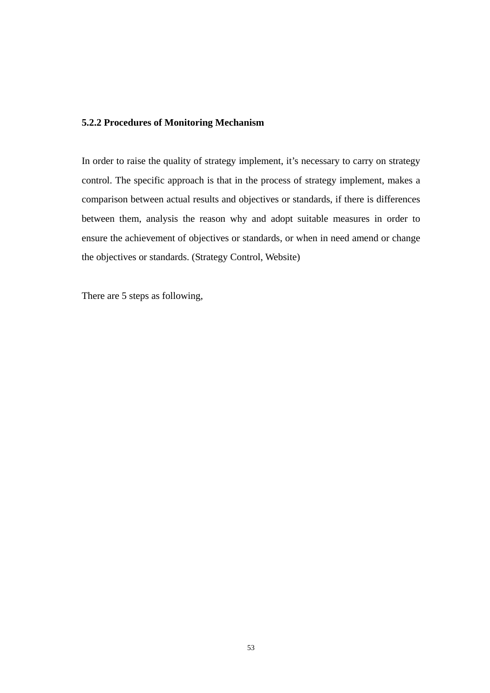## **5.2.2 Procedures of Monitoring Mechanism**

In order to raise the quality of strategy implement, it's necessary to carry on strategy control. The specific approach is that in the process of strategy implement, makes a comparison between actual results and objectives or standards, if there is differences between them, analysis the reason why and adopt suitable measures in order to ensure the achievement of objectives or standards, or when in need amend or change the objectives or standards. (Strategy Control, Website)

There are 5 steps as following,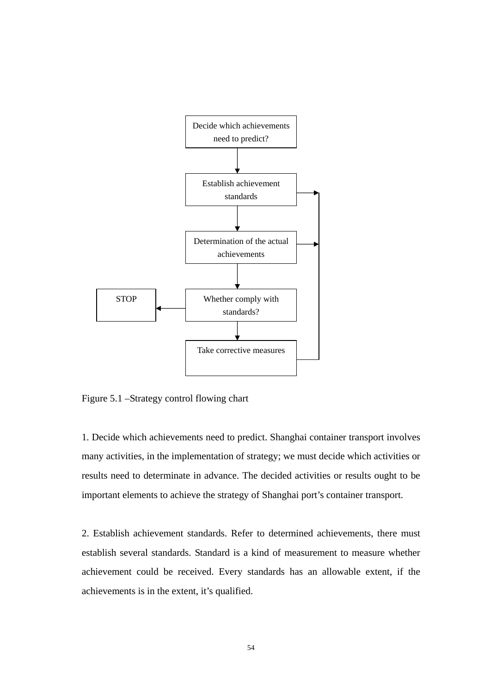

Figure 5.1 –Strategy control flowing chart

1. Decide which achievements need to predict. Shanghai container transport involves many activities, in the implementation of strategy; we must decide which activities or results need to determinate in advance. The decided activities or results ought to be important elements to achieve the strategy of Shanghai port's container transport.

2. Establish achievement standards. Refer to determined achievements, there must establish several standards. Standard is a kind of measurement to measure whether achievement could be received. Every standards has an allowable extent, if the achievements is in the extent, it's qualified.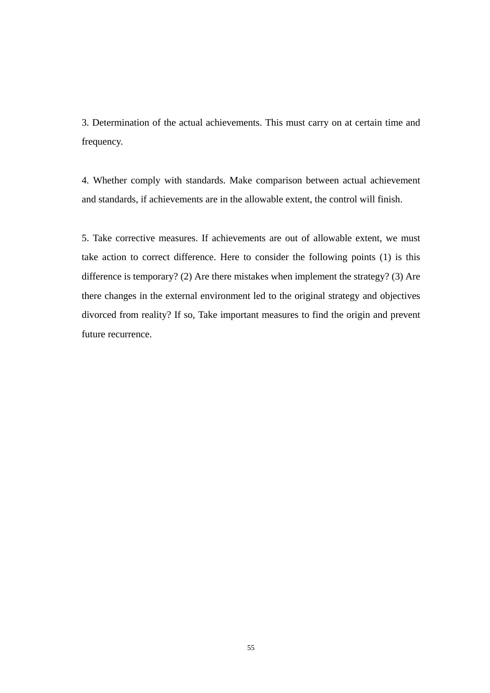3. Determination of the actual achievements. This must carry on at certain time and frequency.

4. Whether comply with standards. Make comparison between actual achievement and standards, if achievements are in the allowable extent, the control will finish.

5. Take corrective measures. If achievements are out of allowable extent, we must take action to correct difference. Here to consider the following points (1) is this difference is temporary? (2) Are there mistakes when implement the strategy? (3) Are there changes in the external environment led to the original strategy and objectives divorced from reality? If so, Take important measures to find the origin and prevent future recurrence.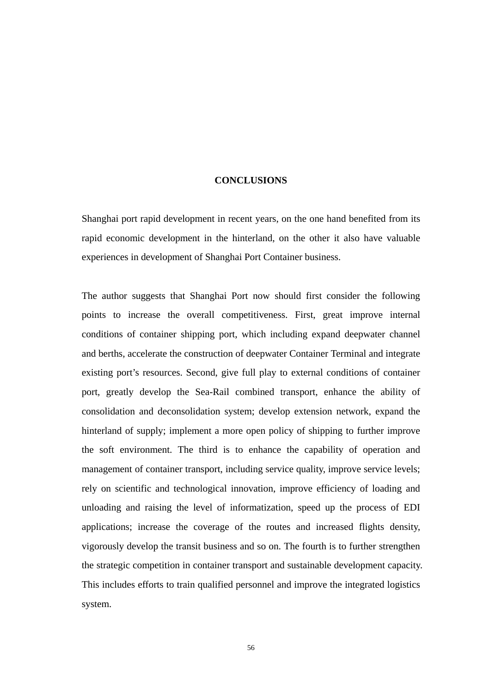#### **CONCLUSIONS**

Shanghai port rapid development in recent years, on the one hand benefited from its rapid economic development in the hinterland, on the other it also have valuable experiences in development of Shanghai Port Container business.

The author suggests that Shanghai Port now should first consider the following points to increase the overall competitiveness. First, great improve internal conditions of container shipping port, which including expand deepwater channel and berths, accelerate the construction of deepwater Container Terminal and integrate existing port's resources. Second, give full play to external conditions of container port, greatly develop the Sea-Rail combined transport, enhance the ability of consolidation and deconsolidation system; develop extension network, expand the hinterland of supply; implement a more open policy of shipping to further improve the soft environment. The third is to enhance the capability of operation and management of container transport, including service quality, improve service levels; rely on scientific and technological innovation, improve efficiency of loading and unloading and raising the level of informatization, speed up the process of EDI applications; increase the coverage of the routes and increased flights density, vigorously develop the transit business and so on. The fourth is to further strengthen the strategic competition in container transport and sustainable development capacity. This includes efforts to train qualified personnel and improve the integrated logistics system.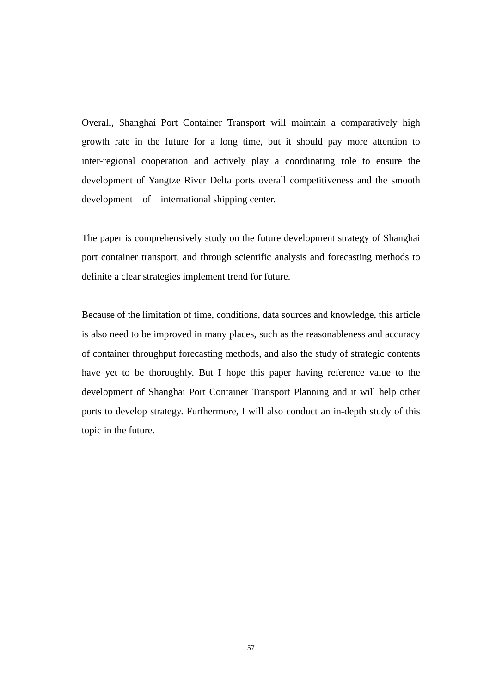Overall, Shanghai Port Container Transport will maintain a comparatively high growth rate in the future for a long time, but it should pay more attention to inter-regional cooperation and actively play a coordinating role to ensure the development of Yangtze River Delta ports overall competitiveness and the smooth development of international shipping center.

The paper is comprehensively study on the future development strategy of Shanghai port container transport, and through scientific analysis and forecasting methods to definite a clear strategies implement trend for future.

Because of the limitation of time, conditions, data sources and knowledge, this article is also need to be improved in many places, such as the reasonableness and accuracy of container throughput forecasting methods, and also the study of strategic contents have yet to be thoroughly. But I hope this paper having reference value to the development of Shanghai Port Container Transport Planning and it will help other ports to develop strategy. Furthermore, I will also conduct an in-depth study of this topic in the future.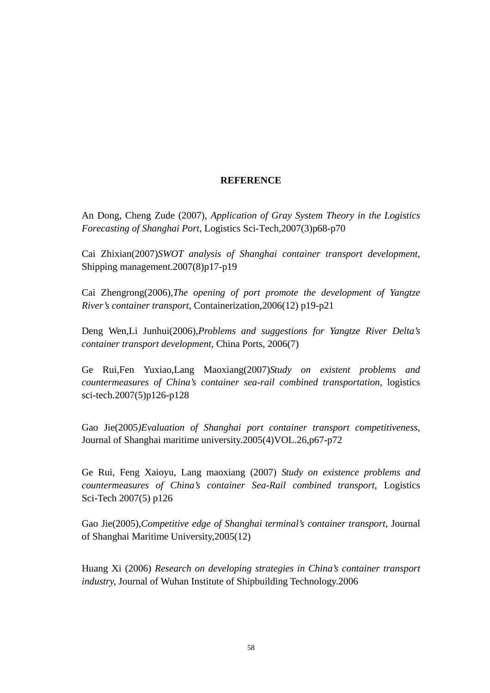## **REFERENCE**

An Dong, Cheng Zude (2007), *Application of Gray System Theory in the Logistics Forecasting of Shanghai Port,* Logistics Sci-Tech,2007(3)p68-p70

Cai Zhixian(2007)*SWOT analysis of Shanghai container transport development*, Shipping management.2007(8)p17-p19

Cai Zhengrong(2006),*The opening of port promote the development of Yangtze River's container transport*, Containerization,2006(12) p19-p21

Deng Wen,Li Junhui(2006),*Problems and suggestions for Yangtze River Delta's container transport development*, China Ports, 2006(7)

Ge Rui,Fen Yuxiao,Lang Maoxiang(2007)*Study on existent problems and countermeasures of China's container sea-rail combined transportation*, logistics sci-tech.2007(5)p126-p128

Gao Jie(2005*)Evaluation of Shanghai port container transport competitiveness*, Journal of Shanghai maritime university.2005(4)VOL.26,p67-p72

Ge Rui, Feng Xaioyu, Lang maoxiang (2007) *Study on existence problems and countermeasures of China's container Sea-Rail combined transport*, Logistics Sci-Tech 2007(5) p126

Gao Jie(2005),*Competitive edge of Shanghai terminal's container transport*, Journal of Shanghai Maritime University,2005(12)

Huang Xi (2006) *Research on developing strategies in China's container transport industry,* Journal of Wuhan Institute of Shipbuilding Technology.2006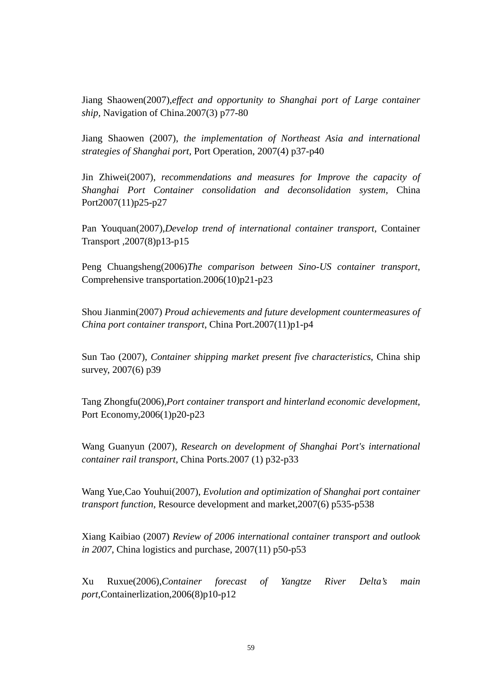Jiang Shaowen(2007),*effect and opportunity to Shanghai port of Large container ship,* Navigation of China.2007(3) p77-80

Jiang Shaowen (2007), *the implementation of Northeast Asia and international strategies of Shanghai port,* Port Operation, 2007(4) p37-p40

Jin Zhiwei(2007), *recommendations and measures for Improve the capacity of Shanghai Port Container consolidation and deconsolidation system,* China Port2007(11)p25-p27

Pan Youquan(2007),*Develop trend of international container transport*, Container Transport ,2007(8)p13-p15

Peng Chuangsheng(2006)*The comparison between Sino-US container transport*, Comprehensive transportation.2006(10)p21-p23

Shou Jianmin(2007) *Proud achievements and future development countermeasures of China port container transport*, China Port.2007(11)p1-p4

Sun Tao (2007), *Container shipping market present five characteristics*, China ship survey, 2007(6) p39

Tang Zhongfu(2006),*Port container transport and hinterland economic development*, Port Economy,2006(1)p20-p23

Wang Guanyun (2007), *Research on development of Shanghai Port's international container rail transport,* China Ports.2007 (1) p32-p33

Wang Yue,Cao Youhui(2007), *Evolution and optimization of Shanghai port container transport function*, Resource development and market,2007(6) p535-p538

Xiang Kaibiao (2007) *Review of 2006 international container transport and outlook in 2007*, China logistics and purchase, 2007(11) p50-p53

Xu Ruxue(2006),*Container forecast of Yangtze River Delta's main port*,Containerlization,2006(8)p10-p12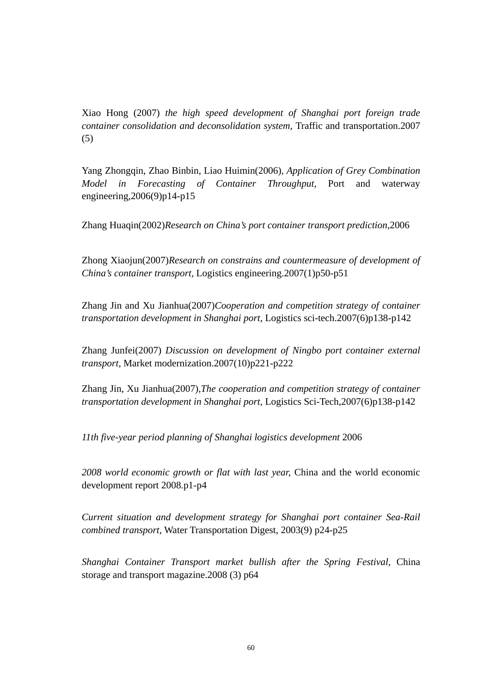Xiao Hong (2007) *the high speed development of Shanghai port foreign trade container consolidation and deconsolidation system,* Traffic and transportation.2007 (5)

Yang Zhongqin, Zhao Binbin, Liao Huimin(2006), *Application of Grey Combination Model in Forecasting of Container Throughput*, Port and waterway engineering,  $2006(9)$ p14-p15

Zhang Huaqin(2002)*Research on China's port container transport prediction*,2006

Zhong Xiaojun(2007)*Research on constrains and countermeasure of development of China's container transport,* Logistics engineering.2007(1)p50-p51

Zhang Jin and Xu Jianhua(2007)*Cooperation and competition strategy of container transportation development in Shanghai port*, Logistics sci-tech.2007(6)p138-p142

Zhang Junfei(2007) *Discussion on development of Ningbo port container external transport*, Market modernization.2007(10)p221-p222

Zhang Jin, Xu Jianhua(2007),*The cooperation and competition strategy of container transportation development in Shanghai port*, Logistics Sci-Tech,2007(6)p138-p142

*11th five-year period planning of Shanghai logistics development* 2006

*2008 world economic growth or flat with last year,* China and the world economic development report 2008.p1-p4

*Current situation and development strategy for Shanghai port container Sea-Rail combined transport*, Water Transportation Digest, 2003(9) p24-p25

*Shanghai Container Transport market bullish after the Spring Festival,* China storage and transport magazine.2008 (3) p64